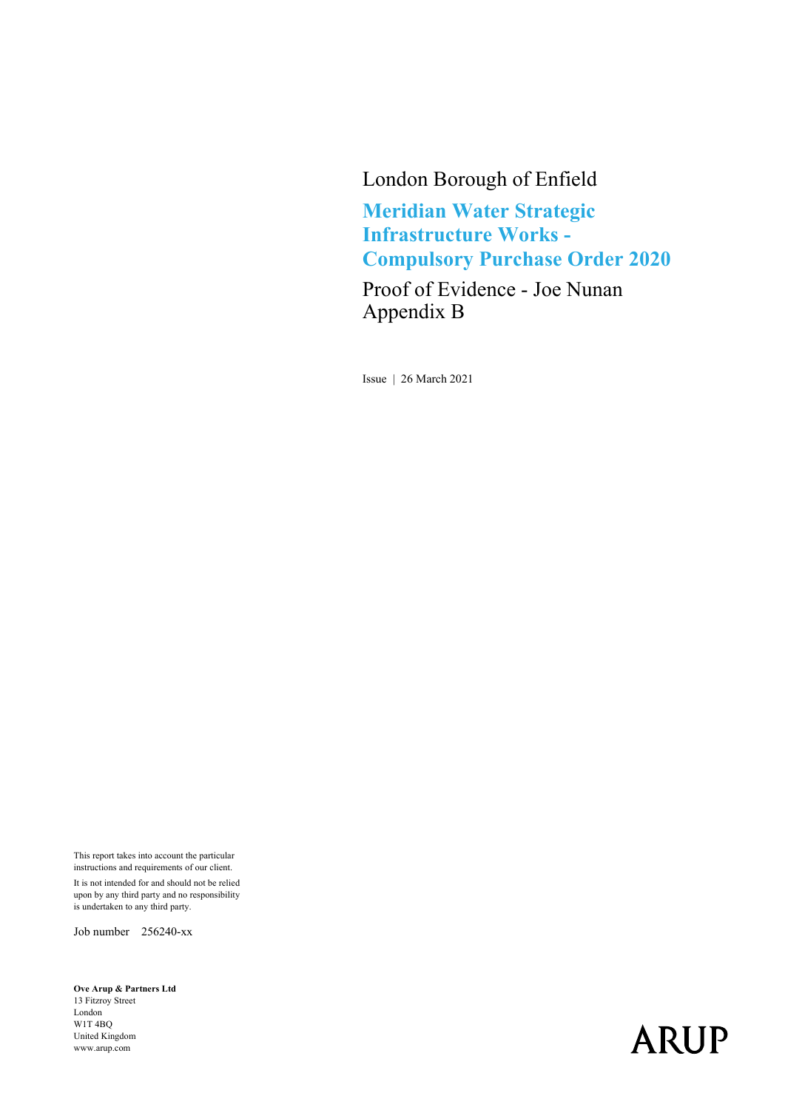### London Borough of Enfield

**Meridian Water Strategic Infrastructure Works - Compulsory Purchase Order 2020**

Proof of Evidence - Joe Nunan Appendix B

Issue | 26 March 2021

This report takes into account the particular instructions and requirements of our client. It is not intended for and should not be relied upon by any third party and no responsibility is undertaken to any third party.

Job number 256240-xx

**Ove Arup & Partners Ltd**  13 Fitzroy Street London W1T 4BQ United Kingdom www.arup.com

# **ARUP**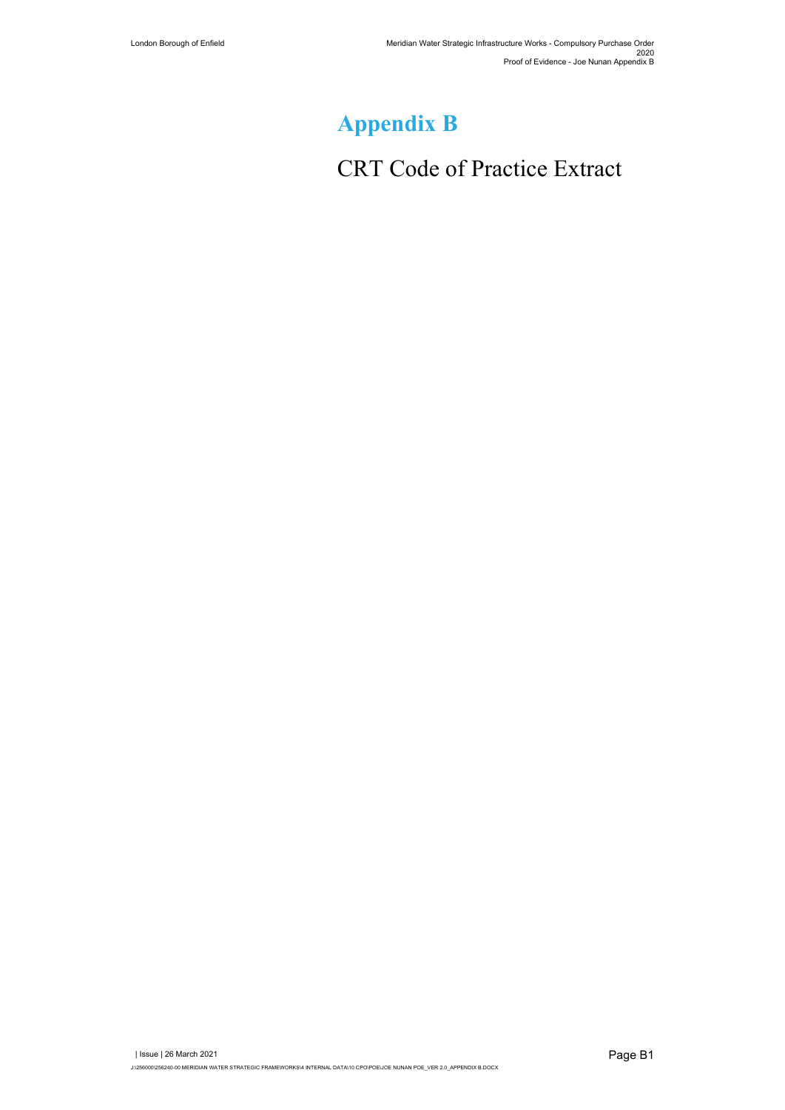# **Appendix B**

# CRT Code of Practice Extract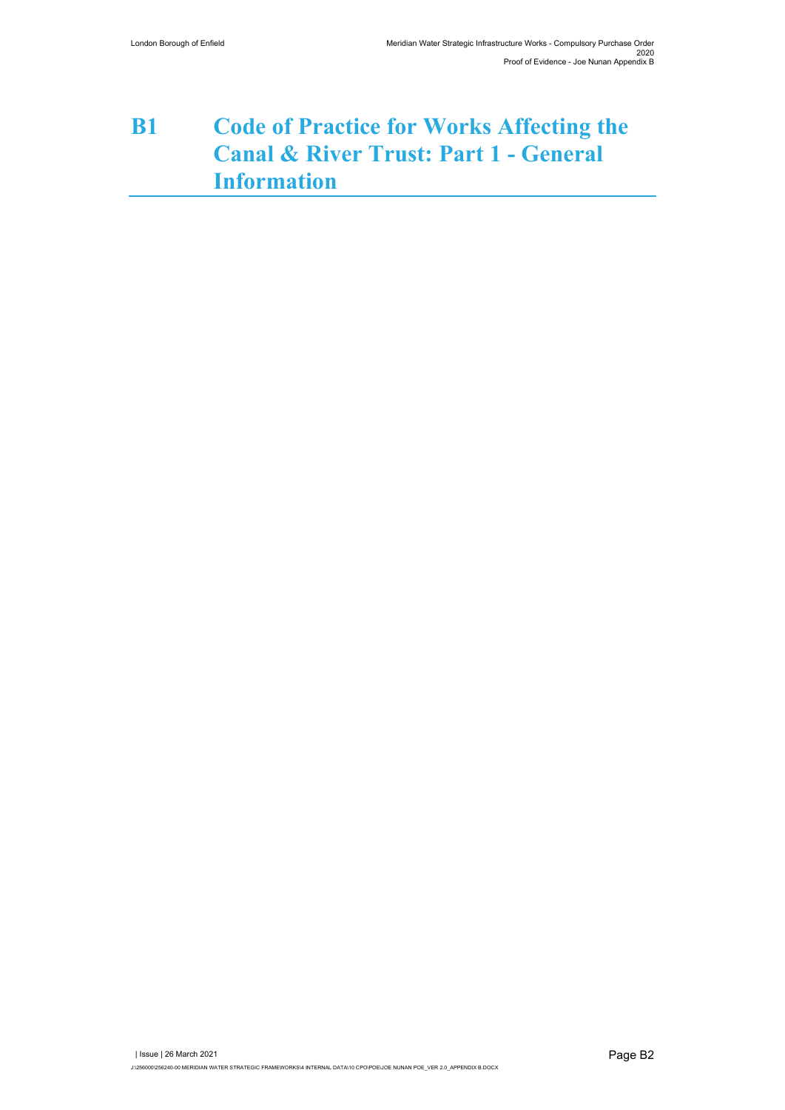## **B1 Code of Practice for Works Affecting the Canal & River Trust: Part 1 - General Information**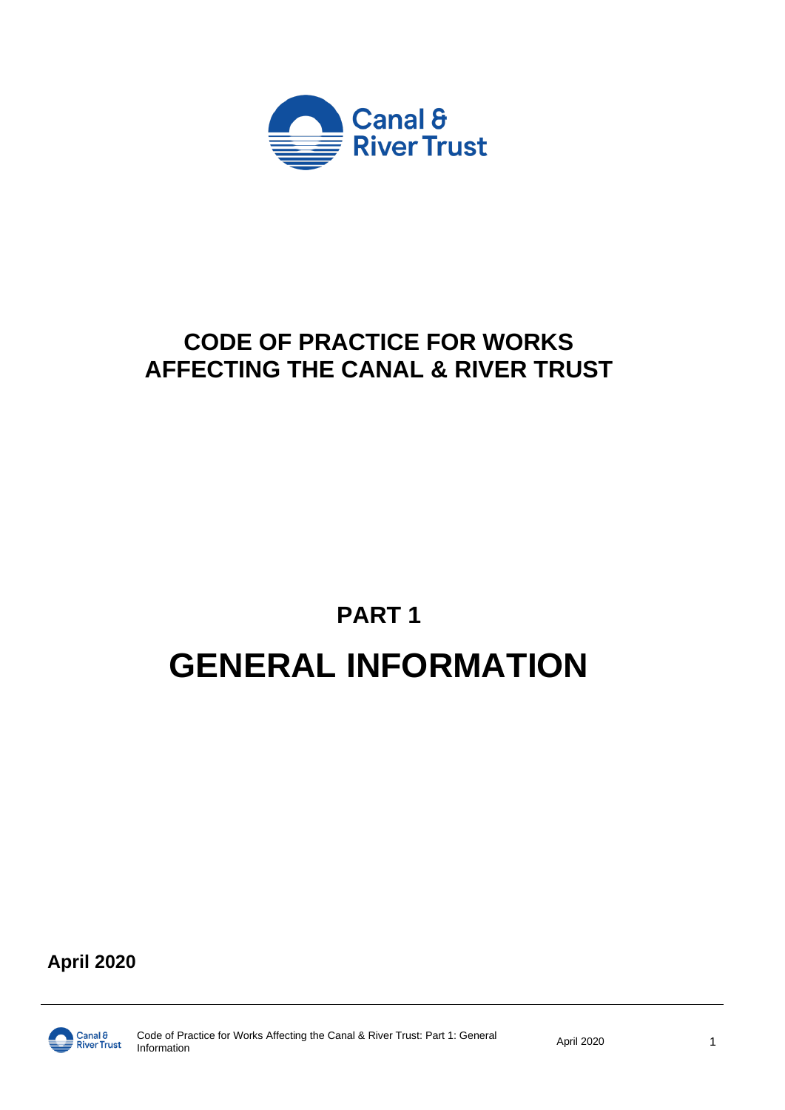

# **CODE OF PRACTICE FOR WORKS AFFECTING THE CANAL & RIVER TRUST**

# **PART 1 GENERAL INFORMATION**

**April 2020**

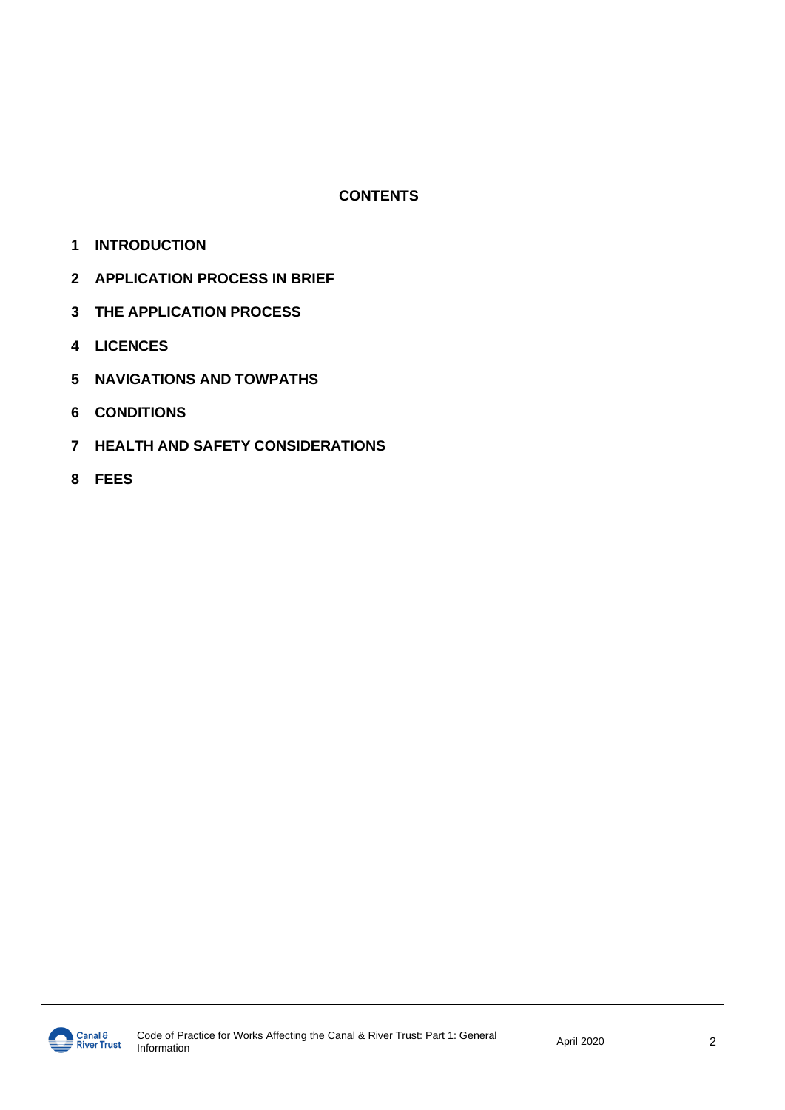### **CONTENTS**

- **INTRODUCTION**
- **APPLICATION PROCESS IN BRIEF**
- **THE APPLICATION PROCESS**
- **LICENCES**
- **NAVIGATIONS AND TOWPATHS**
- **CONDITIONS**
- **HEALTH AND SAFETY CONSIDERATIONS**
- **FEES**

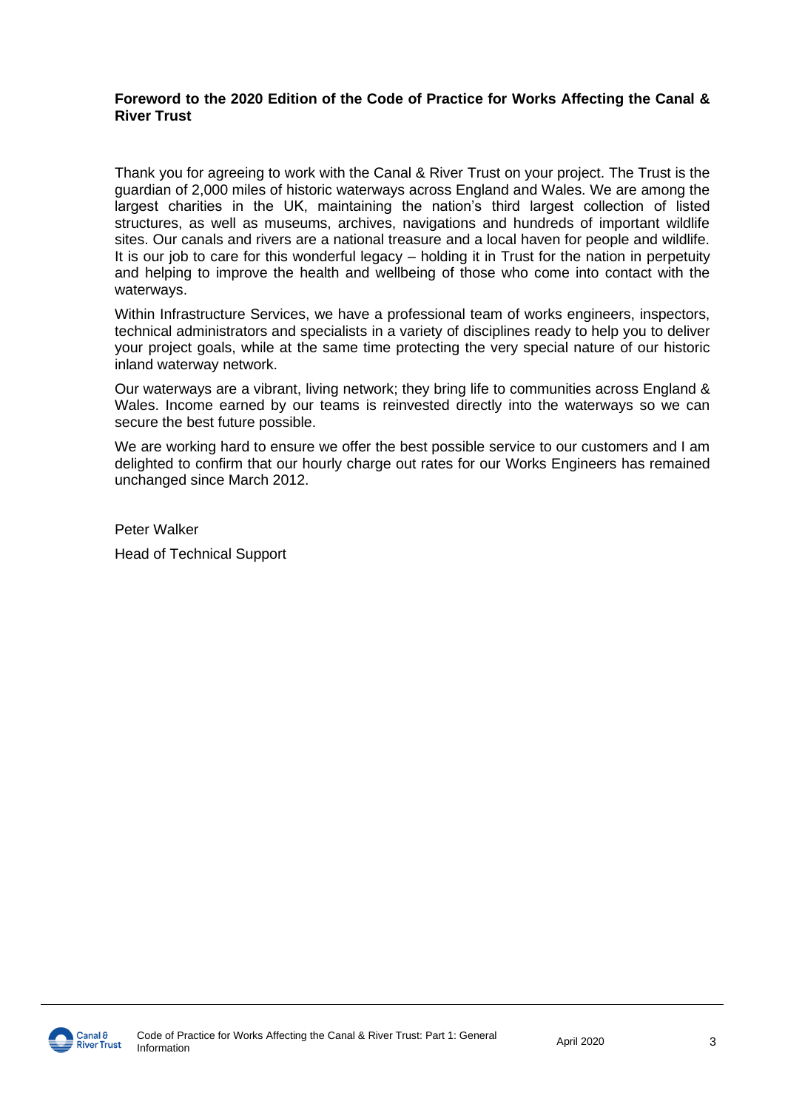### **Foreword to the 2020 Edition of the Code of Practice for Works Affecting the Canal & River Trust**

Thank you for agreeing to work with the Canal & River Trust on your project. The Trust is the guardian of 2,000 miles of historic waterways across England and Wales. We are among the largest charities in the UK, maintaining the nation's third largest collection of listed structures, as well as museums, archives, navigations and hundreds of important wildlife sites. Our canals and rivers are a national treasure and a local haven for people and wildlife. It is our job to care for this wonderful legacy – holding it in Trust for the nation in perpetuity and helping to improve the health and wellbeing of those who come into contact with the waterways.

Within Infrastructure Services, we have a professional team of works engineers, inspectors, technical administrators and specialists in a variety of disciplines ready to help you to deliver your project goals, while at the same time protecting the very special nature of our historic inland waterway network.

Our waterways are a vibrant, living network; they bring life to communities across England & Wales. Income earned by our teams is reinvested directly into the waterways so we can secure the best future possible.

We are working hard to ensure we offer the best possible service to our customers and I am delighted to confirm that our hourly charge out rates for our Works Engineers has remained unchanged since March 2012.

Peter Walker Head of Technical Support

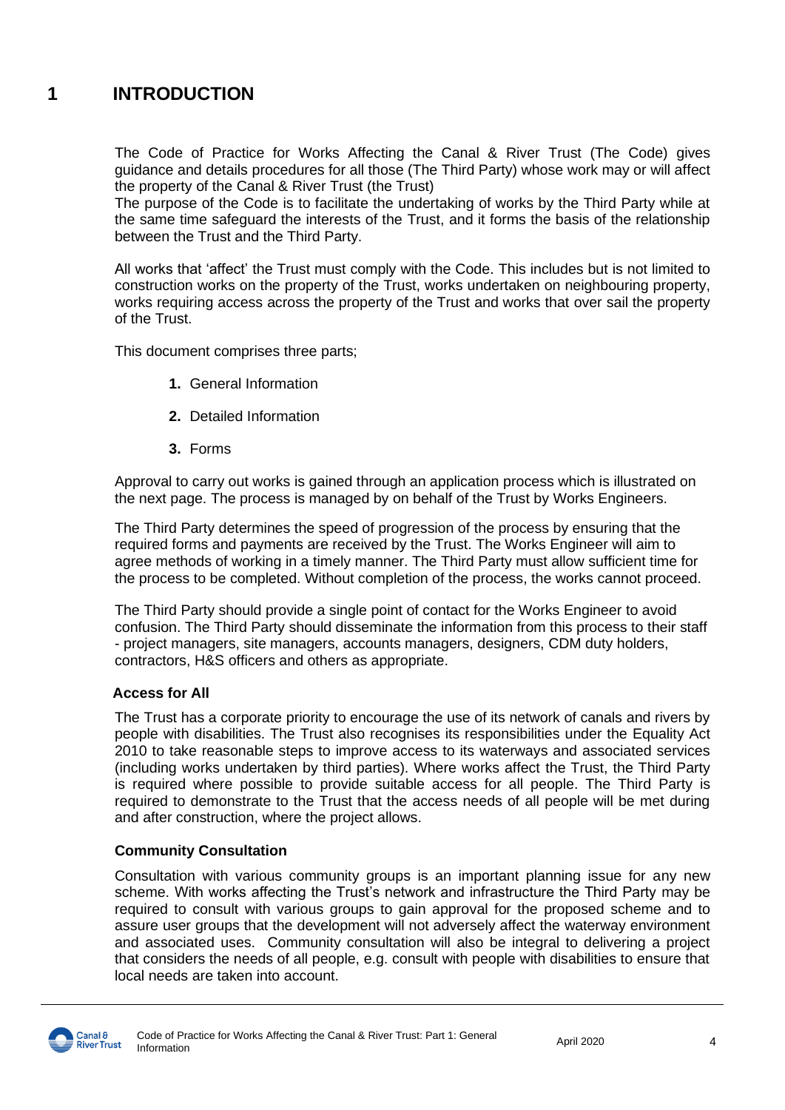### **1 INTRODUCTION**

The Code of Practice for Works Affecting the Canal & River Trust (The Code) gives guidance and details procedures for all those (The Third Party) whose work may or will affect the property of the Canal & River Trust (the Trust)

The purpose of the Code is to facilitate the undertaking of works by the Third Party while at the same time safeguard the interests of the Trust, and it forms the basis of the relationship between the Trust and the Third Party.

All works that 'affect' the Trust must comply with the Code. This includes but is not limited to construction works on the property of the Trust, works undertaken on neighbouring property, works requiring access across the property of the Trust and works that over sail the property of the Trust.

This document comprises three parts;

- **1.** General Information
- **2.** Detailed Information
- **3.** Forms

Approval to carry out works is gained through an application process which is illustrated on the next page. The process is managed by on behalf of the Trust by Works Engineers.

The Third Party determines the speed of progression of the process by ensuring that the required forms and payments are received by the Trust. The Works Engineer will aim to agree methods of working in a timely manner. The Third Party must allow sufficient time for the process to be completed. Without completion of the process, the works cannot proceed.

The Third Party should provide a single point of contact for the Works Engineer to avoid confusion. The Third Party should disseminate the information from this process to their staff - project managers, site managers, accounts managers, designers, CDM duty holders, contractors, H&S officers and others as appropriate.

### **Access for All**

The Trust has a corporate priority to encourage the use of its network of canals and rivers by people with disabilities. The Trust also recognises its responsibilities under the Equality Act 2010 to take reasonable steps to improve access to its waterways and associated services (including works undertaken by third parties). Where works affect the Trust, the Third Party is required where possible to provide suitable access for all people. The Third Party is required to demonstrate to the Trust that the access needs of all people will be met during and after construction, where the project allows.

### **Community Consultation**

Consultation with various community groups is an important planning issue for any new scheme. With works affecting the Trust's network and infrastructure the Third Party may be required to consult with various groups to gain approval for the proposed scheme and to assure user groups that the development will not adversely affect the waterway environment and associated uses. Community consultation will also be integral to delivering a project that considers the needs of all people, e.g. consult with people with disabilities to ensure that local needs are taken into account.

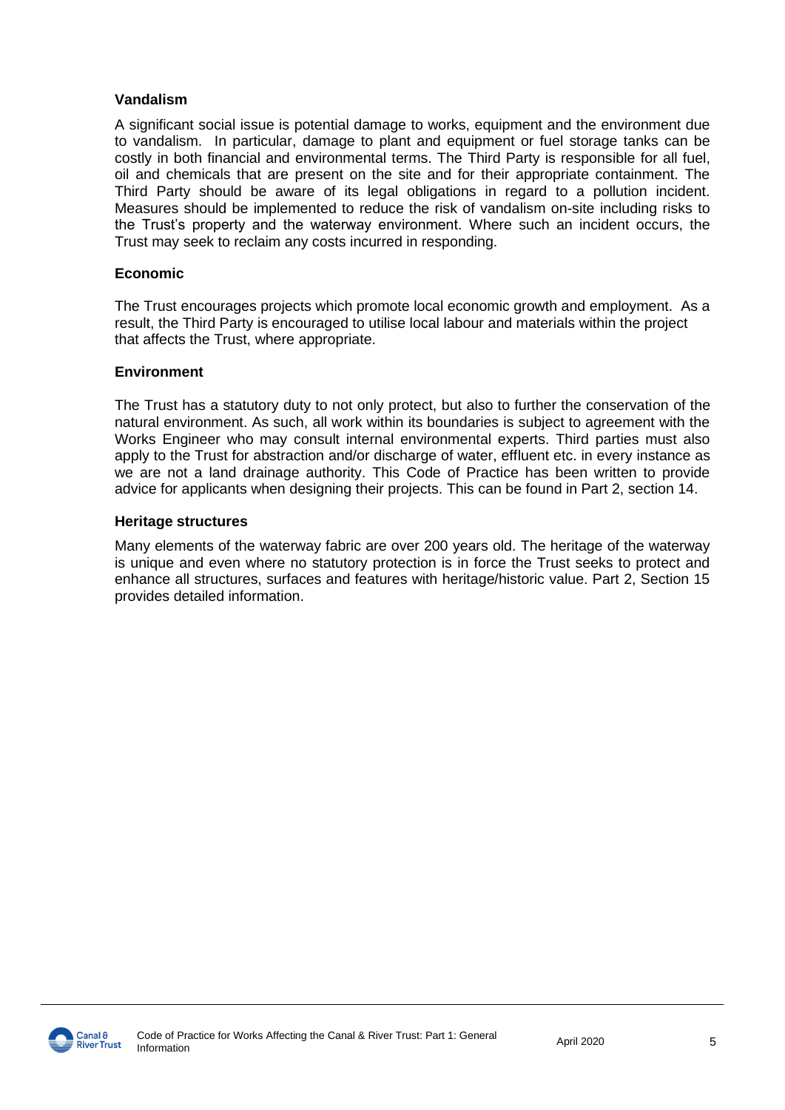### **Vandalism**

A significant social issue is potential damage to works, equipment and the environment due to vandalism. In particular, damage to plant and equipment or fuel storage tanks can be costly in both financial and environmental terms. The Third Party is responsible for all fuel, oil and chemicals that are present on the site and for their appropriate containment. The Third Party should be aware of its legal obligations in regard to a pollution incident. Measures should be implemented to reduce the risk of vandalism on-site including risks to the Trust's property and the waterway environment. Where such an incident occurs, the Trust may seek to reclaim any costs incurred in responding.

### **Economic**

The Trust encourages projects which promote local economic growth and employment. As a result, the Third Party is encouraged to utilise local labour and materials within the project that affects the Trust, where appropriate.

### **Environment**

The Trust has a statutory duty to not only protect, but also to further the conservation of the natural environment. As such, all work within its boundaries is subject to agreement with the Works Engineer who may consult internal environmental experts. Third parties must also apply to the Trust for abstraction and/or discharge of water, effluent etc. in every instance as we are not a land drainage authority. This Code of Practice has been written to provide advice for applicants when designing their projects. This can be found in Part 2, section 14.

#### **Heritage structures**

Many elements of the waterway fabric are over 200 years old. The heritage of the waterway is unique and even where no statutory protection is in force the Trust seeks to protect and enhance all structures, surfaces and features with heritage/historic value. Part 2, Section 15 provides detailed information.

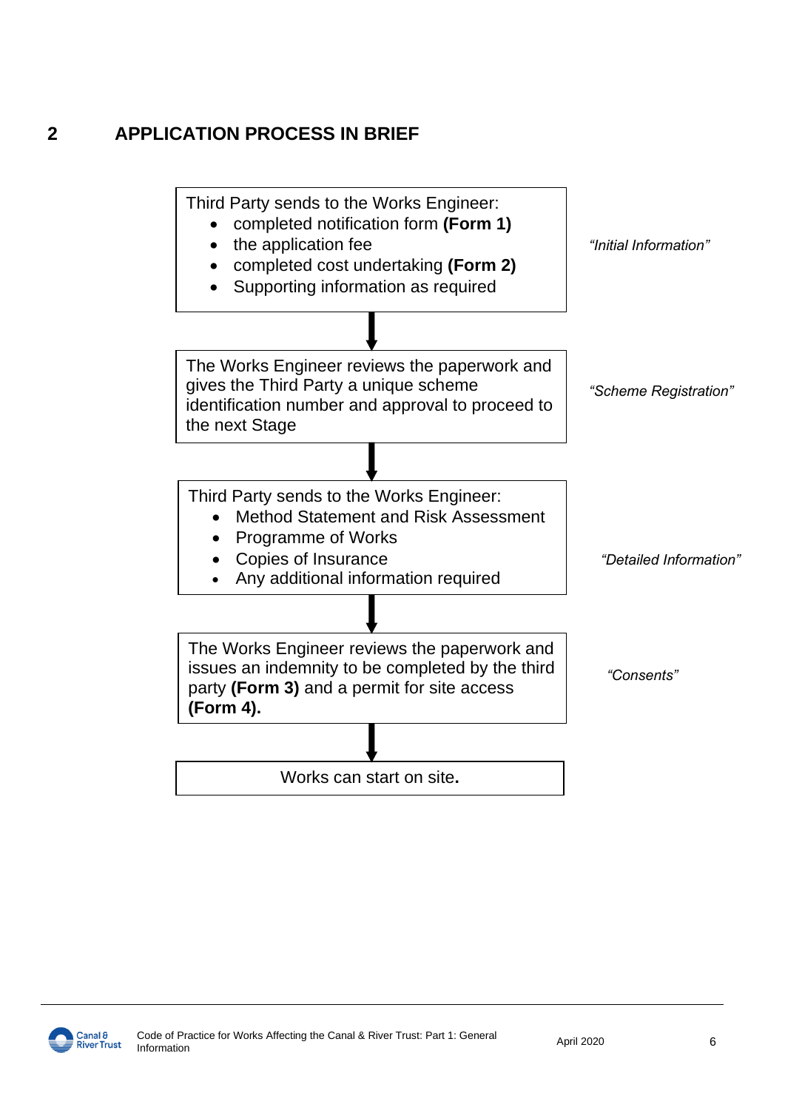### **2 APPLICATION PROCESS IN BRIEF**



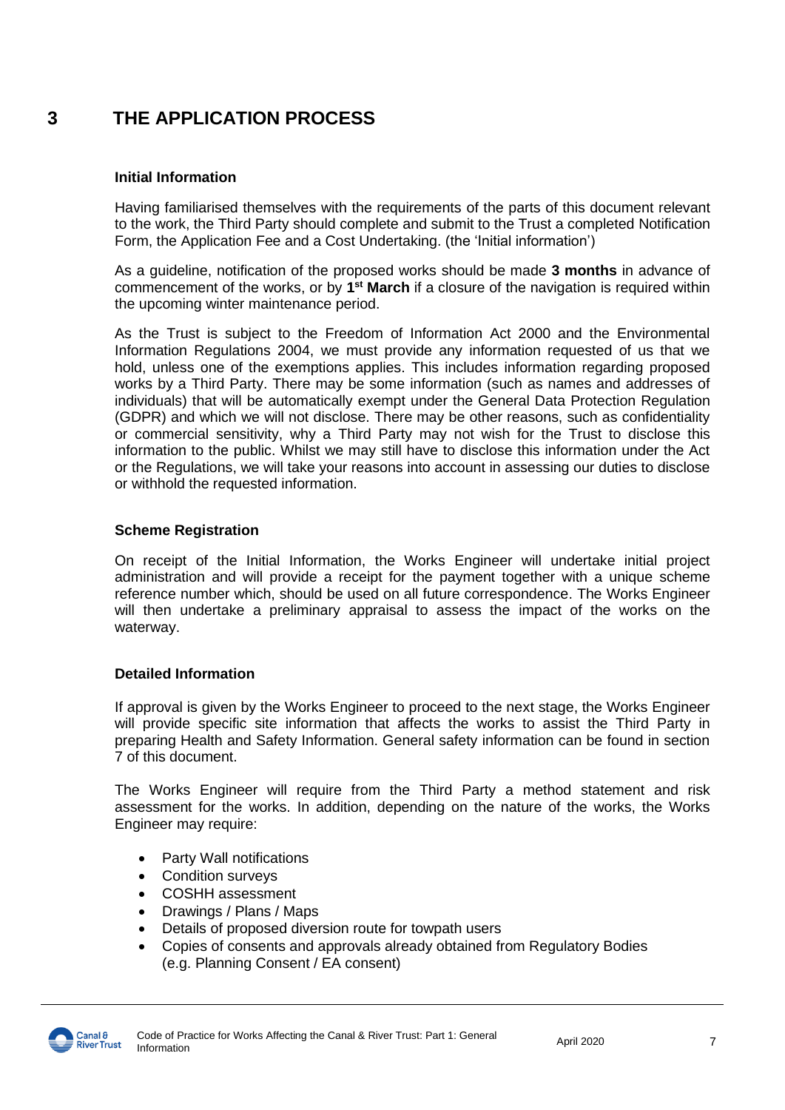### **3 THE APPLICATION PROCESS**

### **Initial Information**

Having familiarised themselves with the requirements of the parts of this document relevant to the work, the Third Party should complete and submit to the Trust a completed Notification Form, the Application Fee and a Cost Undertaking. (the 'Initial information')

As a guideline, notification of the proposed works should be made **3 months** in advance of commencement of the works, or by 1<sup>st</sup> March if a closure of the navigation is required within the upcoming winter maintenance period.

As the Trust is subject to the Freedom of Information Act 2000 and the Environmental Information Regulations 2004, we must provide any information requested of us that we hold, unless one of the exemptions applies. This includes information regarding proposed works by a Third Party. There may be some information (such as names and addresses of individuals) that will be automatically exempt under the General Data Protection Regulation (GDPR) and which we will not disclose. There may be other reasons, such as confidentiality or commercial sensitivity, why a Third Party may not wish for the Trust to disclose this information to the public. Whilst we may still have to disclose this information under the Act or the Regulations, we will take your reasons into account in assessing our duties to disclose or withhold the requested information.

### **Scheme Registration**

On receipt of the Initial Information, the Works Engineer will undertake initial project administration and will provide a receipt for the payment together with a unique scheme reference number which, should be used on all future correspondence. The Works Engineer will then undertake a preliminary appraisal to assess the impact of the works on the waterway.

### **Detailed Information**

If approval is given by the Works Engineer to proceed to the next stage, the Works Engineer will provide specific site information that affects the works to assist the Third Party in preparing Health and Safety Information. General safety information can be found in section 7 of this document.

The Works Engineer will require from the Third Party a method statement and risk assessment for the works. In addition, depending on the nature of the works, the Works Engineer may require:

- Party Wall notifications
- Condition surveys
- COSHH assessment
- Drawings / Plans / Maps
- Details of proposed diversion route for towpath users
- Copies of consents and approvals already obtained from Regulatory Bodies (e.g. Planning Consent / EA consent)

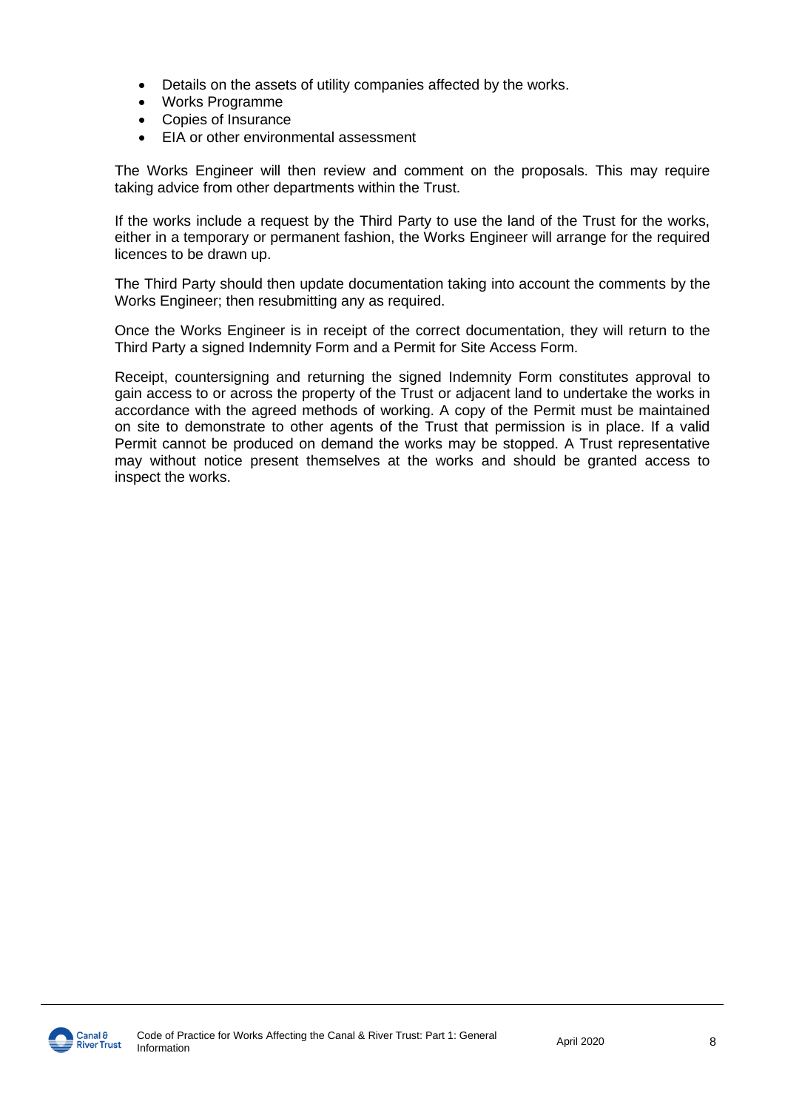- Details on the assets of utility companies affected by the works.
- Works Programme
- Copies of Insurance
- EIA or other environmental assessment

The Works Engineer will then review and comment on the proposals. This may require taking advice from other departments within the Trust.

If the works include a request by the Third Party to use the land of the Trust for the works, either in a temporary or permanent fashion, the Works Engineer will arrange for the required licences to be drawn up.

The Third Party should then update documentation taking into account the comments by the Works Engineer; then resubmitting any as required.

Once the Works Engineer is in receipt of the correct documentation, they will return to the Third Party a signed Indemnity Form and a Permit for Site Access Form.

Receipt, countersigning and returning the signed Indemnity Form constitutes approval to gain access to or across the property of the Trust or adjacent land to undertake the works in accordance with the agreed methods of working. A copy of the Permit must be maintained on site to demonstrate to other agents of the Trust that permission is in place. If a valid Permit cannot be produced on demand the works may be stopped. A Trust representative may without notice present themselves at the works and should be granted access to inspect the works.

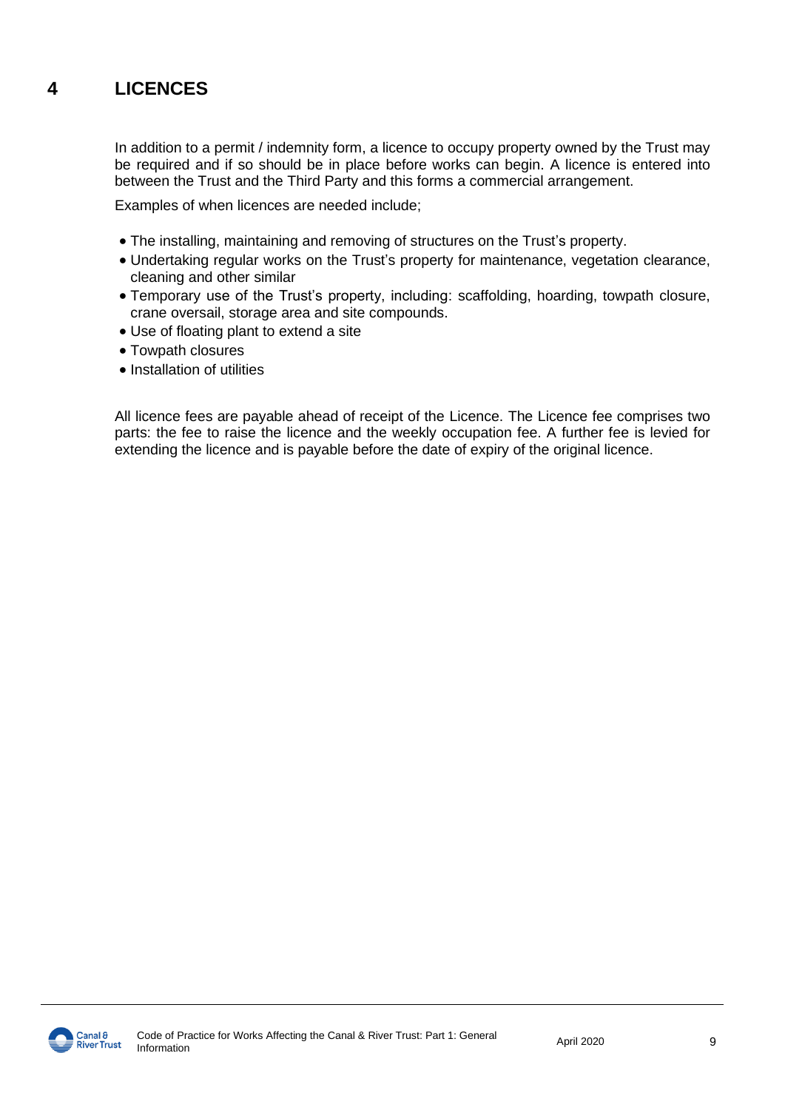### **4 LICENCES**

In addition to a permit / indemnity form, a licence to occupy property owned by the Trust may be required and if so should be in place before works can begin. A licence is entered into between the Trust and the Third Party and this forms a commercial arrangement.

Examples of when licences are needed include;

- The installing, maintaining and removing of structures on the Trust's property.
- Undertaking regular works on the Trust's property for maintenance, vegetation clearance, cleaning and other similar
- Temporary use of the Trust's property, including: scaffolding, hoarding, towpath closure, crane oversail, storage area and site compounds.
- Use of floating plant to extend a site
- Towpath closures
- Installation of utilities

All licence fees are payable ahead of receipt of the Licence. The Licence fee comprises two parts: the fee to raise the licence and the weekly occupation fee. A further fee is levied for extending the licence and is payable before the date of expiry of the original licence.

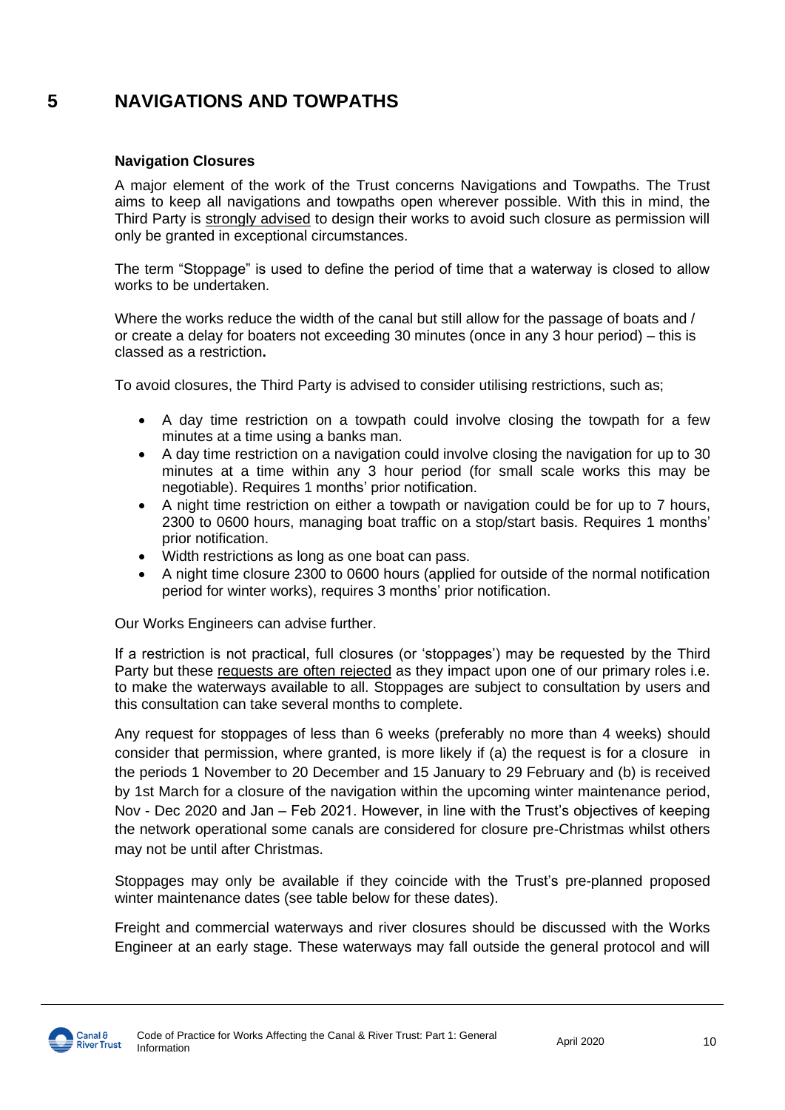### **5 NAVIGATIONS AND TOWPATHS**

### **Navigation Closures**

A major element of the work of the Trust concerns Navigations and Towpaths. The Trust aims to keep all navigations and towpaths open wherever possible. With this in mind, the Third Party is strongly advised to design their works to avoid such closure as permission will only be granted in exceptional circumstances.

The term "Stoppage" is used to define the period of time that a waterway is closed to allow works to be undertaken.

Where the works reduce the width of the canal but still allow for the passage of boats and / or create a delay for boaters not exceeding 30 minutes (once in any 3 hour period) – this is classed as a restriction**.**

To avoid closures, the Third Party is advised to consider utilising restrictions, such as;

- A day time restriction on a towpath could involve closing the towpath for a few minutes at a time using a banks man.
- A day time restriction on a navigation could involve closing the navigation for up to 30 minutes at a time within any 3 hour period (for small scale works this may be negotiable). Requires 1 months' prior notification.
- A night time restriction on either a towpath or navigation could be for up to 7 hours, 2300 to 0600 hours, managing boat traffic on a stop/start basis. Requires 1 months' prior notification.
- Width restrictions as long as one boat can pass.
- A night time closure 2300 to 0600 hours (applied for outside of the normal notification period for winter works), requires 3 months' prior notification.

Our Works Engineers can advise further.

If a restriction is not practical, full closures (or 'stoppages') may be requested by the Third Party but these requests are often rejected as they impact upon one of our primary roles i.e. to make the waterways available to all. Stoppages are subject to consultation by users and this consultation can take several months to complete.

Any request for stoppages of less than 6 weeks (preferably no more than 4 weeks) should consider that permission, where granted, is more likely if (a) the request is for a closure in the periods 1 November to 20 December and 15 January to 29 February and (b) is received by 1st March for a closure of the navigation within the upcoming winter maintenance period, Nov - Dec 2020 and Jan – Feb 2021. However, in line with the Trust's objectives of keeping the network operational some canals are considered for closure pre-Christmas whilst others may not be until after Christmas.

Stoppages may only be available if they coincide with the Trust's pre-planned proposed winter maintenance dates (see table below for these dates).

Freight and commercial waterways and river closures should be discussed with the Works Engineer at an early stage. These waterways may fall outside the general protocol and will

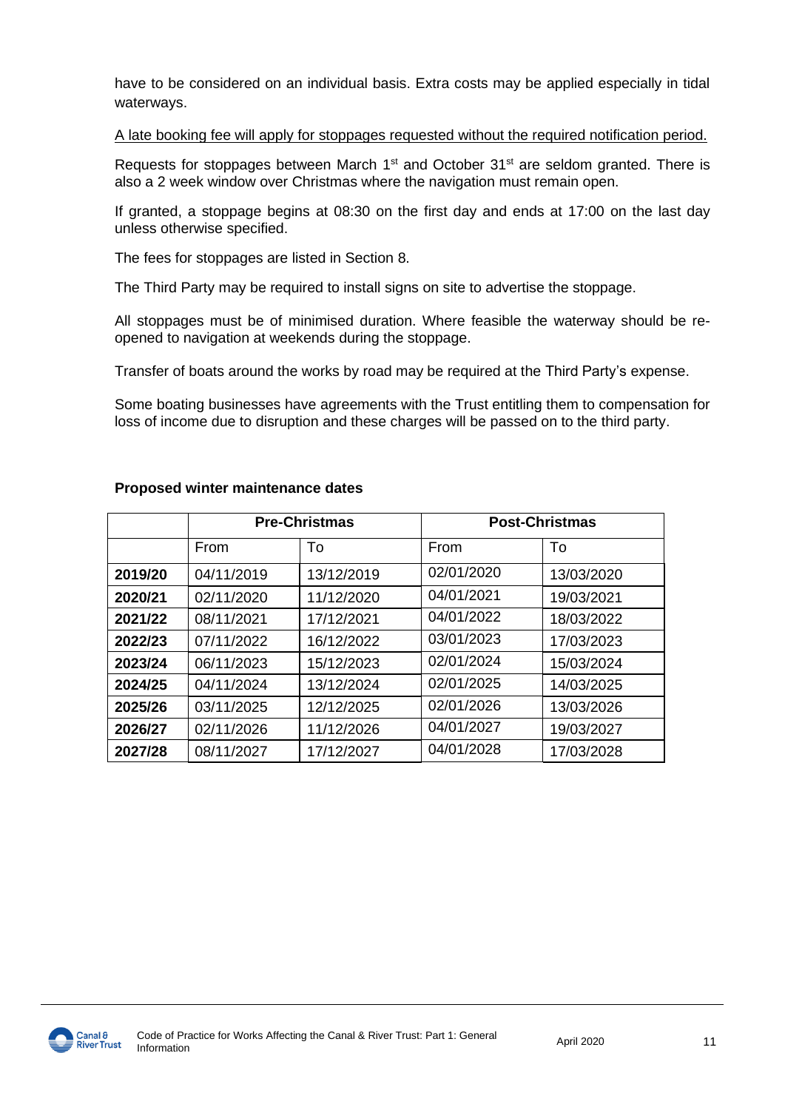have to be considered on an individual basis. Extra costs may be applied especially in tidal waterways.

A late booking fee will apply for stoppages requested without the required notification period.

Requests for stoppages between March  $1<sup>st</sup>$  and October  $31<sup>st</sup>$  are seldom granted. There is also a 2 week window over Christmas where the navigation must remain open.

If granted, a stoppage begins at 08:30 on the first day and ends at 17:00 on the last day unless otherwise specified.

The fees for stoppages are listed in Section 8.

The Third Party may be required to install signs on site to advertise the stoppage.

All stoppages must be of minimised duration. Where feasible the waterway should be reopened to navigation at weekends during the stoppage.

Transfer of boats around the works by road may be required at the Third Party's expense.

Some boating businesses have agreements with the Trust entitling them to compensation for loss of income due to disruption and these charges will be passed on to the third party.

|         | <b>Pre-Christmas</b> |            | <b>Post-Christmas</b> |            |
|---------|----------------------|------------|-----------------------|------------|
|         | From                 | To         | From                  | To         |
| 2019/20 | 04/11/2019           | 13/12/2019 | 02/01/2020            | 13/03/2020 |
| 2020/21 | 02/11/2020           | 11/12/2020 | 04/01/2021            | 19/03/2021 |
| 2021/22 | 08/11/2021           | 17/12/2021 | 04/01/2022            | 18/03/2022 |
| 2022/23 | 07/11/2022           | 16/12/2022 | 03/01/2023            | 17/03/2023 |
| 2023/24 | 06/11/2023           | 15/12/2023 | 02/01/2024            | 15/03/2024 |
| 2024/25 | 04/11/2024           | 13/12/2024 | 02/01/2025            | 14/03/2025 |
| 2025/26 | 03/11/2025           | 12/12/2025 | 02/01/2026            | 13/03/2026 |
| 2026/27 | 02/11/2026           | 11/12/2026 | 04/01/2027            | 19/03/2027 |
| 2027/28 | 08/11/2027           | 17/12/2027 | 04/01/2028            | 17/03/2028 |

### **Proposed winter maintenance dates**

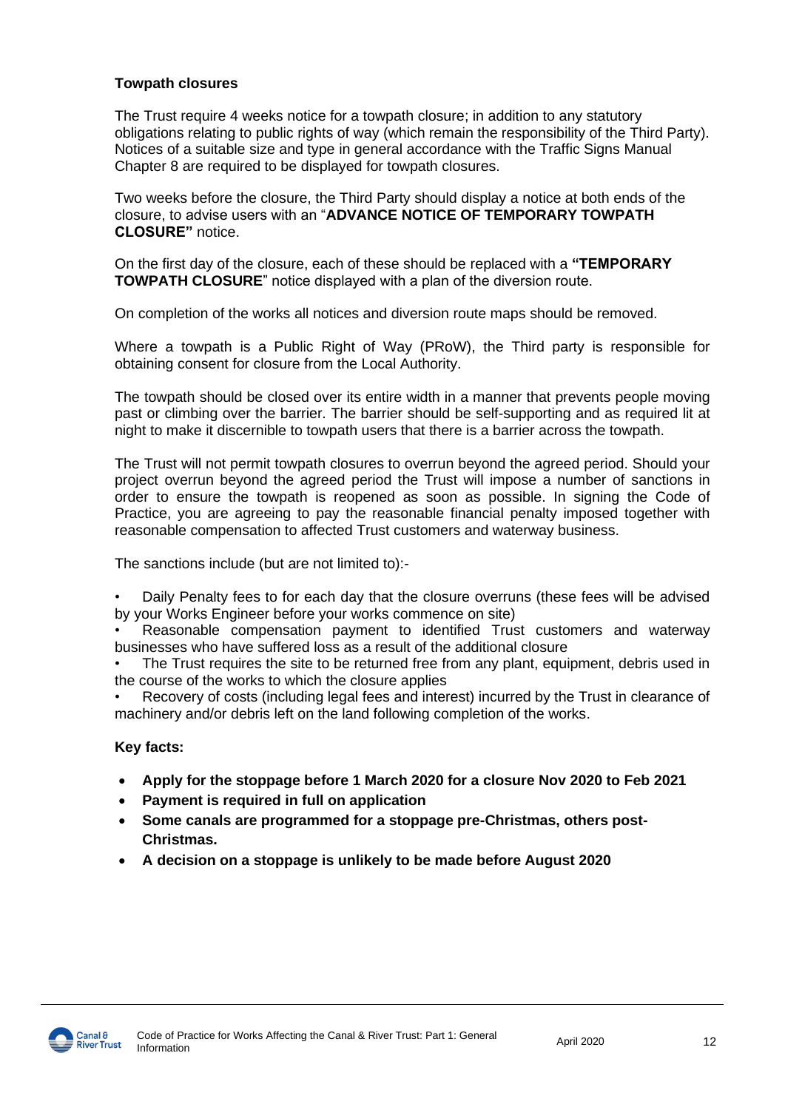### **Towpath closures**

The Trust require 4 weeks notice for a towpath closure; in addition to any statutory obligations relating to public rights of way (which remain the responsibility of the Third Party). Notices of a suitable size and type in general accordance with the Traffic Signs Manual Chapter 8 are required to be displayed for towpath closures.

Two weeks before the closure, the Third Party should display a notice at both ends of the closure, to advise users with an "**ADVANCE NOTICE OF TEMPORARY TOWPATH CLOSURE"** notice.

On the first day of the closure, each of these should be replaced with a **"TEMPORARY TOWPATH CLOSURE**" notice displayed with a plan of the diversion route.

On completion of the works all notices and diversion route maps should be removed.

Where a towpath is a Public Right of Way (PRoW), the Third party is responsible for obtaining consent for closure from the Local Authority.

The towpath should be closed over its entire width in a manner that prevents people moving past or climbing over the barrier. The barrier should be self-supporting and as required lit at night to make it discernible to towpath users that there is a barrier across the towpath.

The Trust will not permit towpath closures to overrun beyond the agreed period. Should your project overrun beyond the agreed period the Trust will impose a number of sanctions in order to ensure the towpath is reopened as soon as possible. In signing the Code of Practice, you are agreeing to pay the reasonable financial penalty imposed together with reasonable compensation to affected Trust customers and waterway business.

The sanctions include (but are not limited to):-

• Daily Penalty fees to for each day that the closure overruns (these fees will be advised by your Works Engineer before your works commence on site)

• Reasonable compensation payment to identified Trust customers and waterway businesses who have suffered loss as a result of the additional closure

The Trust requires the site to be returned free from any plant, equipment, debris used in the course of the works to which the closure applies

• Recovery of costs (including legal fees and interest) incurred by the Trust in clearance of machinery and/or debris left on the land following completion of the works.

### **Key facts:**

- **Apply for the stoppage before 1 March 2020 for a closure Nov 2020 to Feb 2021**
- **Payment is required in full on application**
- **Some canals are programmed for a stoppage pre-Christmas, others post-Christmas.**
- **A decision on a stoppage is unlikely to be made before August 2020**

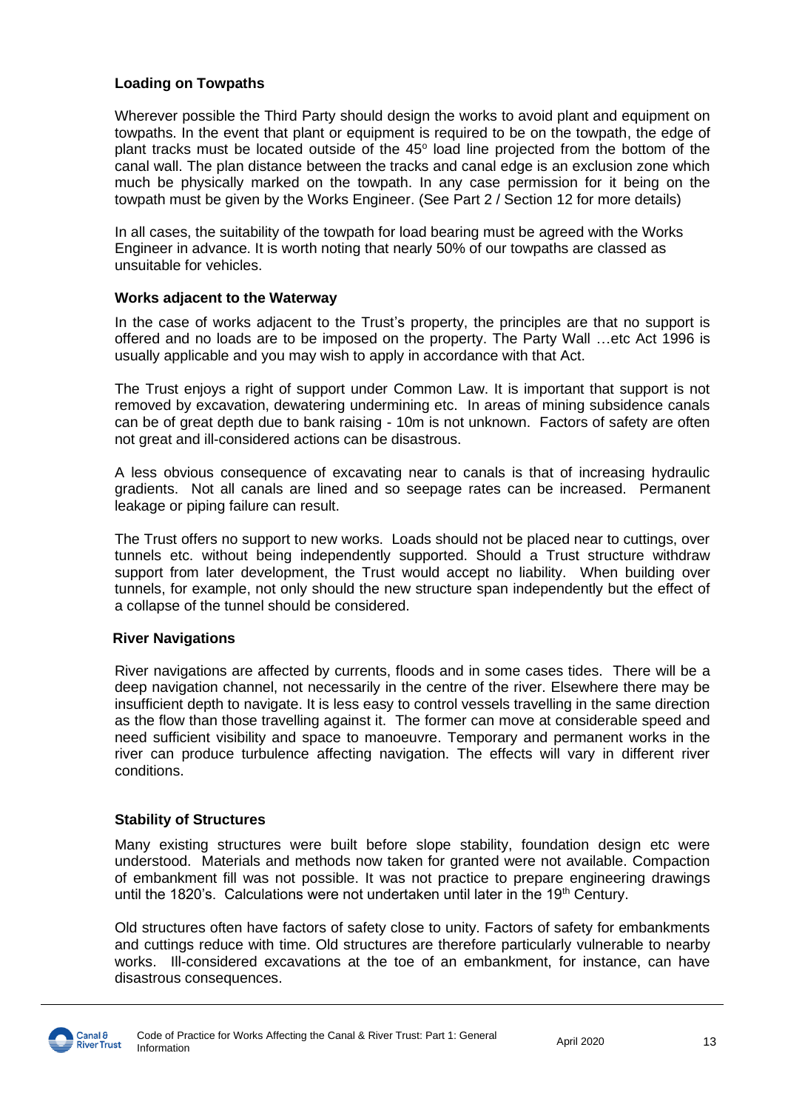### **Loading on Towpaths**

Wherever possible the Third Party should design the works to avoid plant and equipment on towpaths. In the event that plant or equipment is required to be on the towpath, the edge of plant tracks must be located outside of the 45° load line projected from the bottom of the canal wall. The plan distance between the tracks and canal edge is an exclusion zone which much be physically marked on the towpath. In any case permission for it being on the towpath must be given by the Works Engineer. (See Part 2 / Section 12 for more details)

In all cases, the suitability of the towpath for load bearing must be agreed with the Works Engineer in advance. It is worth noting that nearly 50% of our towpaths are classed as unsuitable for vehicles.

### **Works adjacent to the Waterway**

In the case of works adjacent to the Trust's property, the principles are that no support is offered and no loads are to be imposed on the property. The Party Wall …etc Act 1996 is usually applicable and you may wish to apply in accordance with that Act.

The Trust enjoys a right of support under Common Law. It is important that support is not removed by excavation, dewatering undermining etc. In areas of mining subsidence canals can be of great depth due to bank raising - 10m is not unknown. Factors of safety are often not great and ill-considered actions can be disastrous.

A less obvious consequence of excavating near to canals is that of increasing hydraulic gradients. Not all canals are lined and so seepage rates can be increased. Permanent leakage or piping failure can result.

The Trust offers no support to new works. Loads should not be placed near to cuttings, over tunnels etc. without being independently supported. Should a Trust structure withdraw support from later development, the Trust would accept no liability. When building over tunnels, for example, not only should the new structure span independently but the effect of a collapse of the tunnel should be considered.

### **River Navigations**

River navigations are affected by currents, floods and in some cases tides. There will be a deep navigation channel, not necessarily in the centre of the river. Elsewhere there may be insufficient depth to navigate. It is less easy to control vessels travelling in the same direction as the flow than those travelling against it. The former can move at considerable speed and need sufficient visibility and space to manoeuvre. Temporary and permanent works in the river can produce turbulence affecting navigation. The effects will vary in different river conditions.

### **Stability of Structures**

Many existing structures were built before slope stability, foundation design etc were understood. Materials and methods now taken for granted were not available. Compaction of embankment fill was not possible. It was not practice to prepare engineering drawings until the 1820's. Calculations were not undertaken until later in the 19th Century.

Old structures often have factors of safety close to unity. Factors of safety for embankments and cuttings reduce with time. Old structures are therefore particularly vulnerable to nearby works. Ill-considered excavations at the toe of an embankment, for instance, can have disastrous consequences.

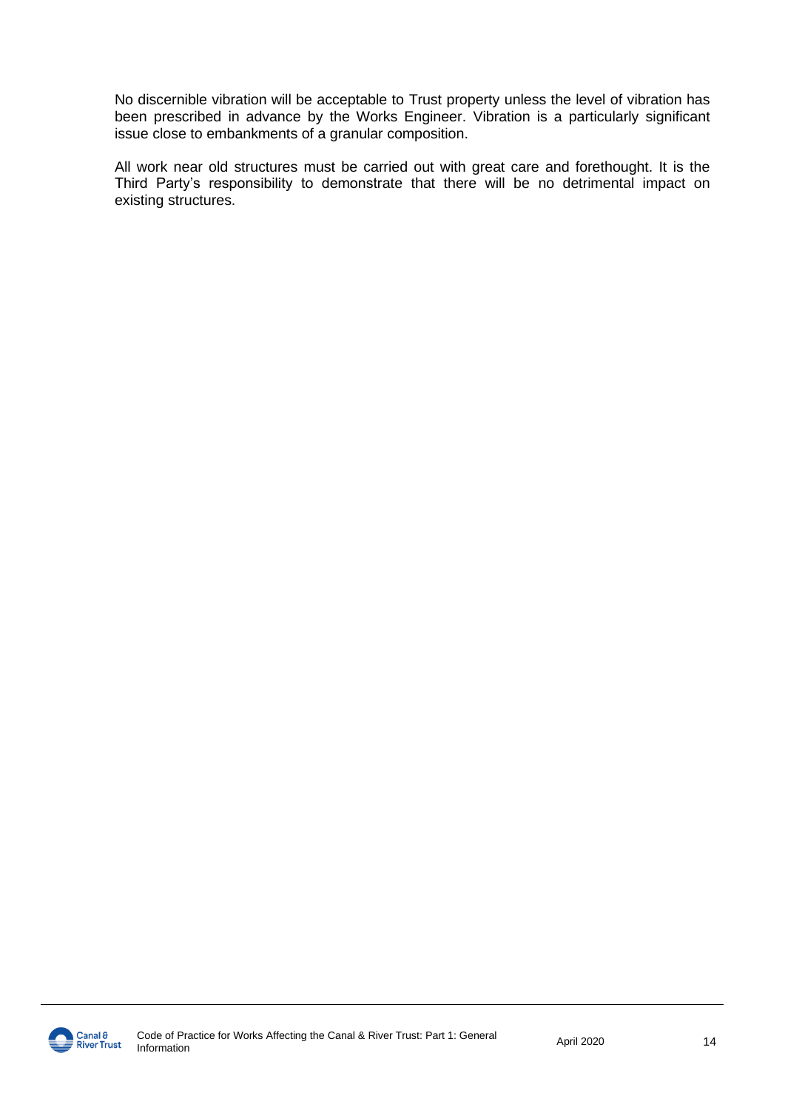No discernible vibration will be acceptable to Trust property unless the level of vibration has been prescribed in advance by the Works Engineer. Vibration is a particularly significant issue close to embankments of a granular composition.

All work near old structures must be carried out with great care and forethought. It is the Third Party's responsibility to demonstrate that there will be no detrimental impact on existing structures.

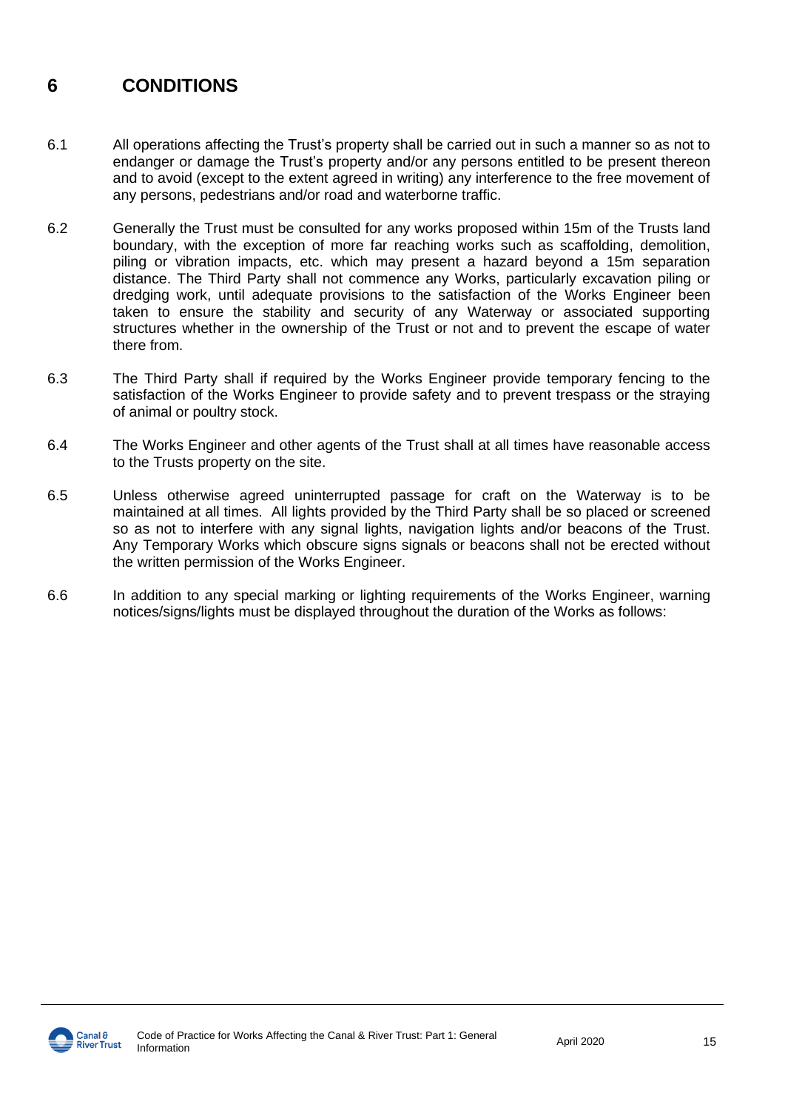### **6 CONDITIONS**

- 6.1 All operations affecting the Trust's property shall be carried out in such a manner so as not to endanger or damage the Trust's property and/or any persons entitled to be present thereon and to avoid (except to the extent agreed in writing) any interference to the free movement of any persons, pedestrians and/or road and waterborne traffic.
- 6.2 Generally the Trust must be consulted for any works proposed within 15m of the Trusts land boundary, with the exception of more far reaching works such as scaffolding, demolition, piling or vibration impacts, etc. which may present a hazard beyond a 15m separation distance. The Third Party shall not commence any Works, particularly excavation piling or dredging work, until adequate provisions to the satisfaction of the Works Engineer been taken to ensure the stability and security of any Waterway or associated supporting structures whether in the ownership of the Trust or not and to prevent the escape of water there from.
- 6.3 The Third Party shall if required by the Works Engineer provide temporary fencing to the satisfaction of the Works Engineer to provide safety and to prevent trespass or the straying of animal or poultry stock.
- 6.4 The Works Engineer and other agents of the Trust shall at all times have reasonable access to the Trusts property on the site.
- 6.5 Unless otherwise agreed uninterrupted passage for craft on the Waterway is to be maintained at all times. All lights provided by the Third Party shall be so placed or screened so as not to interfere with any signal lights, navigation lights and/or beacons of the Trust. Any Temporary Works which obscure signs signals or beacons shall not be erected without the written permission of the Works Engineer.
- 6.6 In addition to any special marking or lighting requirements of the Works Engineer, warning notices/signs/lights must be displayed throughout the duration of the Works as follows:

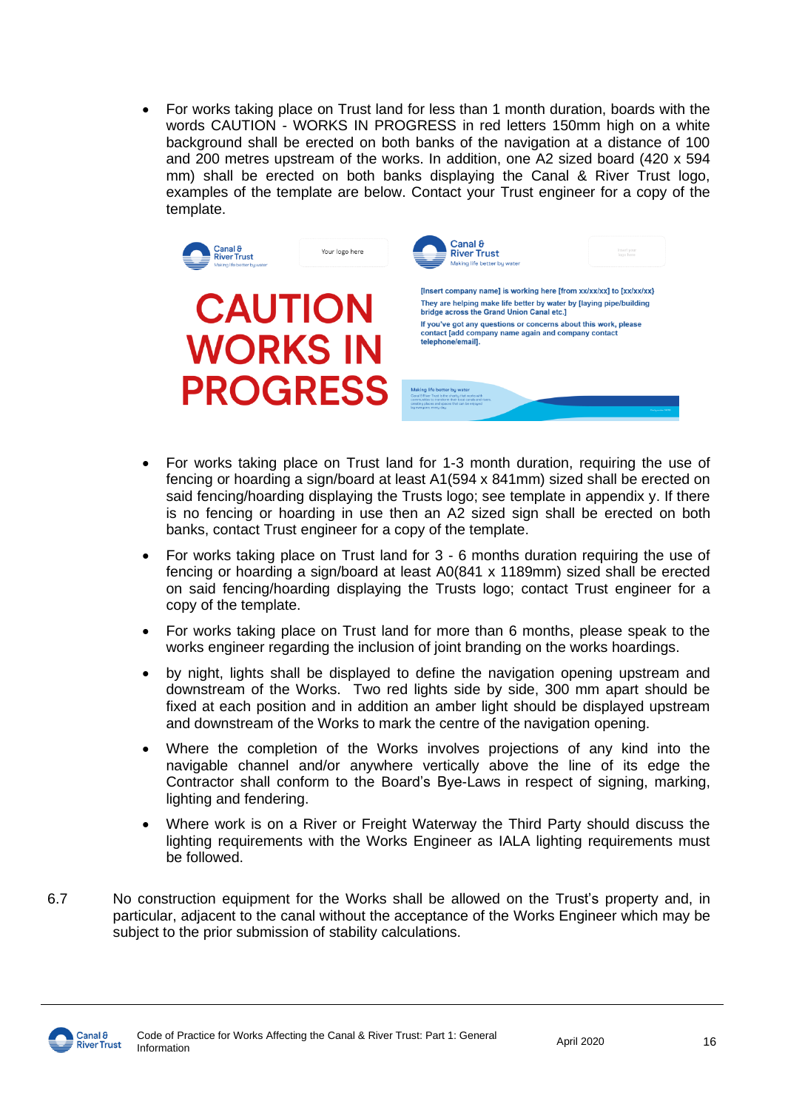• For works taking place on Trust land for less than 1 month duration, boards with the words CAUTION - WORKS IN PROGRESS in red letters 150mm high on a white background shall be erected on both banks of the navigation at a distance of 100 and 200 metres upstream of the works. In addition, one A2 sized board (420 x 594 mm) shall be erected on both banks displaying the Canal & River Trust logo, examples of the template are below. Contact your Trust engineer for a copy of the template.



- For works taking place on Trust land for 1-3 month duration, requiring the use of fencing or hoarding a sign/board at least A1(594 x 841mm) sized shall be erected on said fencing/hoarding displaying the Trusts logo; see template in appendix y. If there is no fencing or hoarding in use then an A2 sized sign shall be erected on both banks, contact Trust engineer for a copy of the template.
- For works taking place on Trust land for 3 6 months duration requiring the use of fencing or hoarding a sign/board at least A0(841 x 1189mm) sized shall be erected on said fencing/hoarding displaying the Trusts logo; contact Trust engineer for a copy of the template.
- For works taking place on Trust land for more than 6 months, please speak to the works engineer regarding the inclusion of joint branding on the works hoardings.
- by night, lights shall be displayed to define the navigation opening upstream and downstream of the Works. Two red lights side by side, 300 mm apart should be fixed at each position and in addition an amber light should be displayed upstream and downstream of the Works to mark the centre of the navigation opening.
- Where the completion of the Works involves projections of any kind into the navigable channel and/or anywhere vertically above the line of its edge the Contractor shall conform to the Board's Bye-Laws in respect of signing, marking, lighting and fendering.
- Where work is on a River or Freight Waterway the Third Party should discuss the lighting requirements with the Works Engineer as IALA lighting requirements must be followed.
- 6.7 No construction equipment for the Works shall be allowed on the Trust's property and, in particular, adjacent to the canal without the acceptance of the Works Engineer which may be subject to the prior submission of stability calculations.

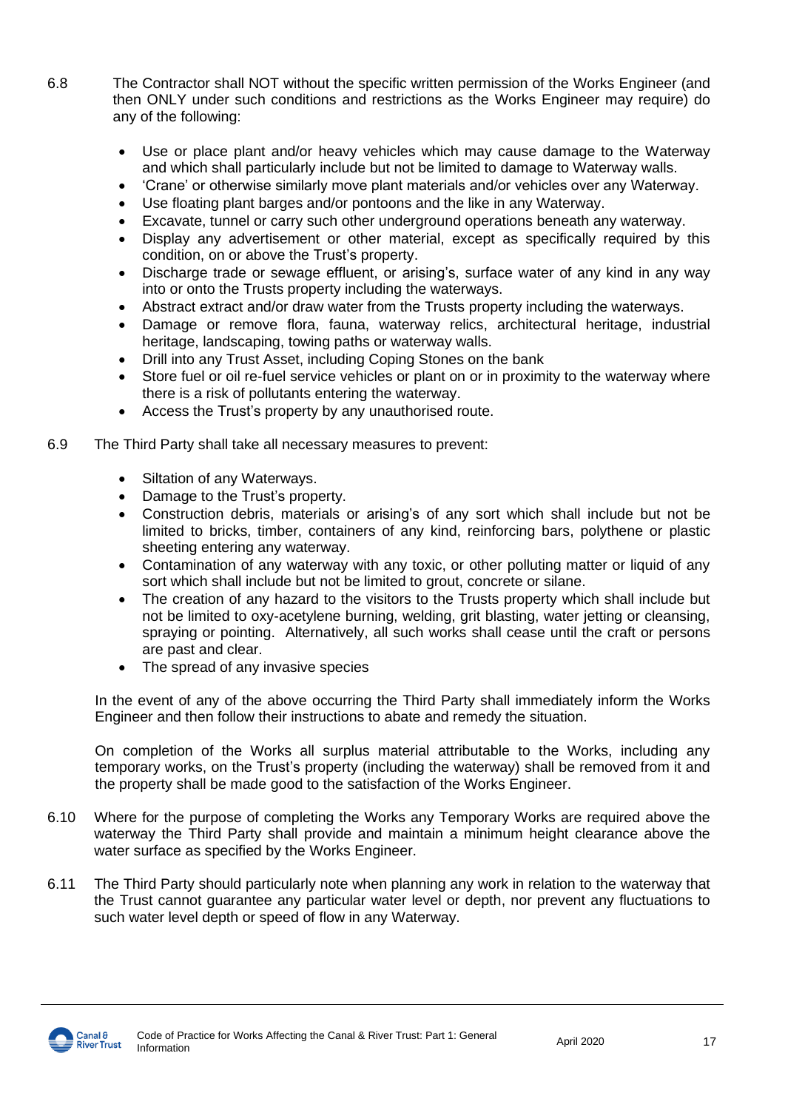- 6.8 The Contractor shall NOT without the specific written permission of the Works Engineer (and then ONLY under such conditions and restrictions as the Works Engineer may require) do any of the following:
	- Use or place plant and/or heavy vehicles which may cause damage to the Waterway and which shall particularly include but not be limited to damage to Waterway walls.
	- 'Crane' or otherwise similarly move plant materials and/or vehicles over any Waterway.
	- Use floating plant barges and/or pontoons and the like in any Waterway.
	- Excavate, tunnel or carry such other underground operations beneath any waterway.
	- Display any advertisement or other material, except as specifically required by this condition, on or above the Trust's property.
	- Discharge trade or sewage effluent, or arising's, surface water of any kind in any way into or onto the Trusts property including the waterways.
	- Abstract extract and/or draw water from the Trusts property including the waterways.
	- Damage or remove flora, fauna, waterway relics, architectural heritage, industrial heritage, landscaping, towing paths or waterway walls.
	- Drill into any Trust Asset, including Coping Stones on the bank
	- Store fuel or oil re-fuel service vehicles or plant on or in proximity to the waterway where there is a risk of pollutants entering the waterway.
	- Access the Trust's property by any unauthorised route.
- 6.9 The Third Party shall take all necessary measures to prevent:
	- Siltation of any Waterways.
	- Damage to the Trust's property.
	- Construction debris, materials or arising's of any sort which shall include but not be limited to bricks, timber, containers of any kind, reinforcing bars, polythene or plastic sheeting entering any waterway.
	- Contamination of any waterway with any toxic, or other polluting matter or liquid of any sort which shall include but not be limited to grout, concrete or silane.
	- The creation of any hazard to the visitors to the Trusts property which shall include but not be limited to oxy-acetylene burning, welding, grit blasting, water jetting or cleansing, spraying or pointing. Alternatively, all such works shall cease until the craft or persons are past and clear.
	- The spread of any invasive species

In the event of any of the above occurring the Third Party shall immediately inform the Works Engineer and then follow their instructions to abate and remedy the situation.

On completion of the Works all surplus material attributable to the Works, including any temporary works, on the Trust's property (including the waterway) shall be removed from it and the property shall be made good to the satisfaction of the Works Engineer.

- 6.10 Where for the purpose of completing the Works any Temporary Works are required above the waterway the Third Party shall provide and maintain a minimum height clearance above the water surface as specified by the Works Engineer.
- 6.11 The Third Party should particularly note when planning any work in relation to the waterway that the Trust cannot guarantee any particular water level or depth, nor prevent any fluctuations to such water level depth or speed of flow in any Waterway.

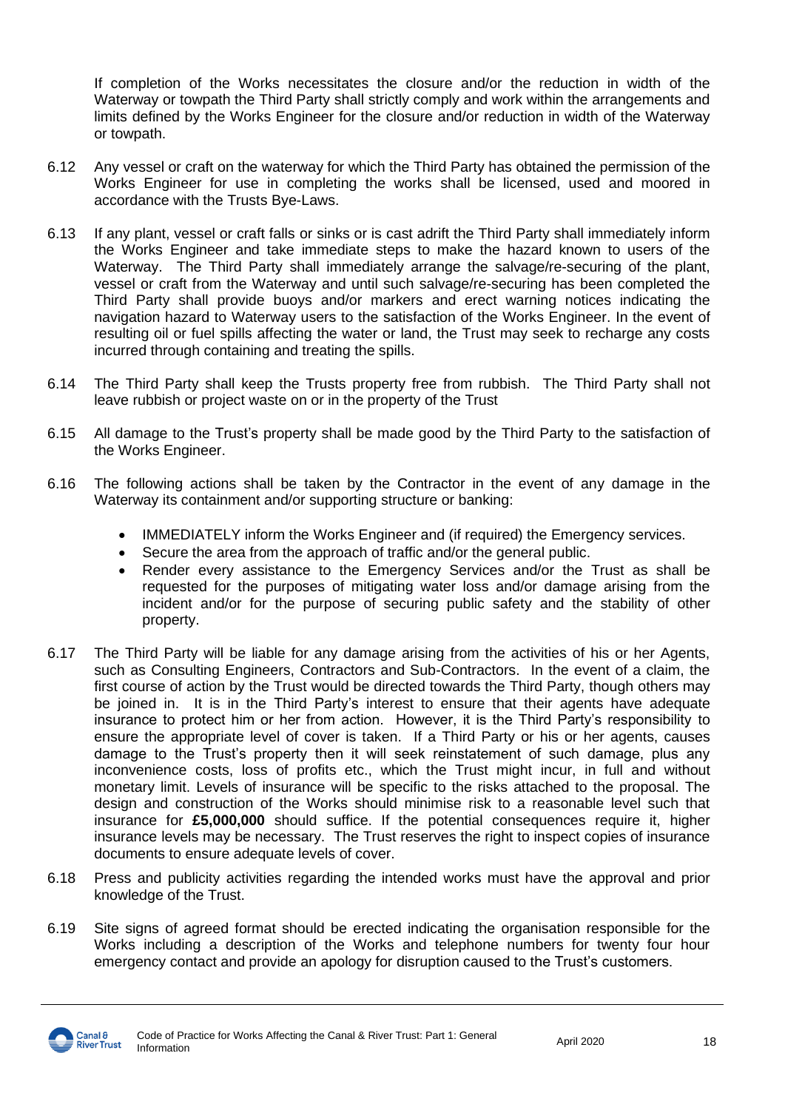If completion of the Works necessitates the closure and/or the reduction in width of the Waterway or towpath the Third Party shall strictly comply and work within the arrangements and limits defined by the Works Engineer for the closure and/or reduction in width of the Waterway or towpath.

- 6.12 Any vessel or craft on the waterway for which the Third Party has obtained the permission of the Works Engineer for use in completing the works shall be licensed, used and moored in accordance with the Trusts Bye-Laws.
- 6.13 If any plant, vessel or craft falls or sinks or is cast adrift the Third Party shall immediately inform the Works Engineer and take immediate steps to make the hazard known to users of the Waterway. The Third Party shall immediately arrange the salvage/re-securing of the plant, vessel or craft from the Waterway and until such salvage/re-securing has been completed the Third Party shall provide buoys and/or markers and erect warning notices indicating the navigation hazard to Waterway users to the satisfaction of the Works Engineer. In the event of resulting oil or fuel spills affecting the water or land, the Trust may seek to recharge any costs incurred through containing and treating the spills.
- 6.14 The Third Party shall keep the Trusts property free from rubbish. The Third Party shall not leave rubbish or project waste on or in the property of the Trust
- 6.15 All damage to the Trust's property shall be made good by the Third Party to the satisfaction of the Works Engineer.
- 6.16 The following actions shall be taken by the Contractor in the event of any damage in the Waterway its containment and/or supporting structure or banking:
	- IMMEDIATELY inform the Works Engineer and (if required) the Emergency services.
	- Secure the area from the approach of traffic and/or the general public.
	- Render every assistance to the Emergency Services and/or the Trust as shall be requested for the purposes of mitigating water loss and/or damage arising from the incident and/or for the purpose of securing public safety and the stability of other property.
- 6.17 The Third Party will be liable for any damage arising from the activities of his or her Agents, such as Consulting Engineers, Contractors and Sub-Contractors. In the event of a claim, the first course of action by the Trust would be directed towards the Third Party, though others may be joined in. It is in the Third Party's interest to ensure that their agents have adequate insurance to protect him or her from action. However, it is the Third Party's responsibility to ensure the appropriate level of cover is taken. If a Third Party or his or her agents, causes damage to the Trust's property then it will seek reinstatement of such damage, plus any inconvenience costs, loss of profits etc., which the Trust might incur, in full and without monetary limit. Levels of insurance will be specific to the risks attached to the proposal. The design and construction of the Works should minimise risk to a reasonable level such that insurance for **£5,000,000** should suffice. If the potential consequences require it, higher insurance levels may be necessary. The Trust reserves the right to inspect copies of insurance documents to ensure adequate levels of cover.
- 6.18 Press and publicity activities regarding the intended works must have the approval and prior knowledge of the Trust.
- 6.19 Site signs of agreed format should be erected indicating the organisation responsible for the Works including a description of the Works and telephone numbers for twenty four hour emergency contact and provide an apology for disruption caused to the Trust's customers.

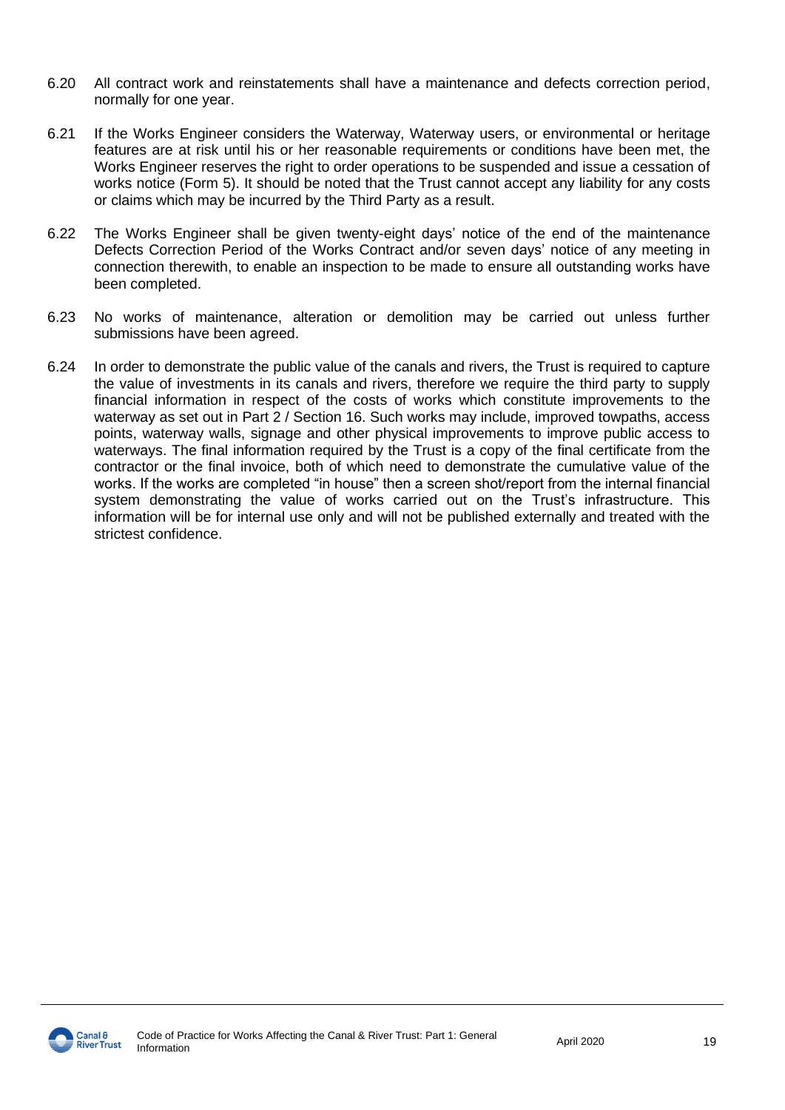- 6.20 All contract work and reinstatements shall have a maintenance and defects correction period, normally for one year.
- 6.21 If the Works Engineer considers the Waterway, Waterway users, or environmental or heritage features are at risk until his or her reasonable requirements or conditions have been met, the Works Engineer reserves the right to order operations to be suspended and issue a cessation of works notice (Form 5). It should be noted that the Trust cannot accept any liability for any costs or claims which may be incurred by the Third Party as a result.
- 6.22 The Works Engineer shall be given twenty-eight days' notice of the end of the maintenance Defects Correction Period of the Works Contract and/or seven days' notice of any meeting in connection therewith, to enable an inspection to be made to ensure all outstanding works have been completed.
- 6.23 No works of maintenance, alteration or demolition may be carried out unless further submissions have been agreed.
- 6.24 In order to demonstrate the public value of the canals and rivers, the Trust is required to capture the value of investments in its canals and rivers, therefore we require the third party to supply financial information in respect of the costs of works which constitute improvements to the waterway as set out in Part 2 / Section 16. Such works may include, improved towpaths, access points, waterway walls, signage and other physical improvements to improve public access to waterways. The final information required by the Trust is a copy of the final certificate from the contractor or the final invoice, both of which need to demonstrate the cumulative value of the works. If the works are completed "in house" then a screen shot/report from the internal financial system demonstrating the value of works carried out on the Trust's infrastructure. This information will be for internal use only and will not be published externally and treated with the strictest confidence.

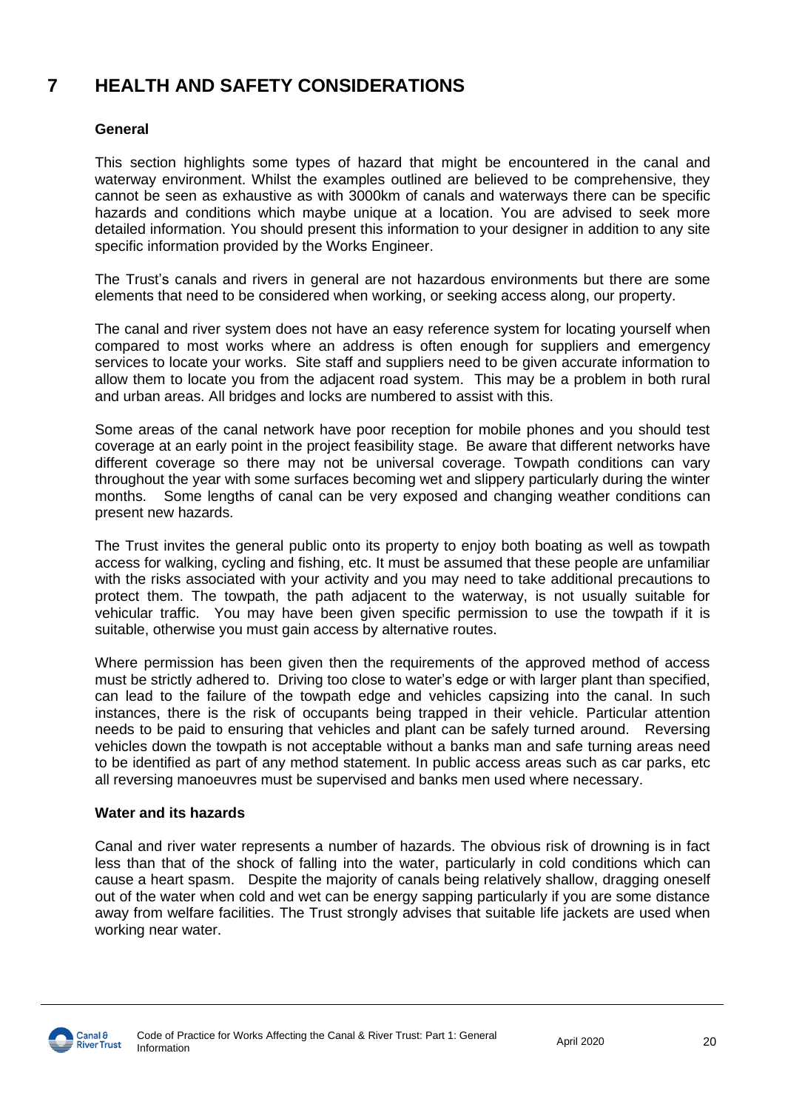### **7 HEALTH AND SAFETY CONSIDERATIONS**

### **General**

This section highlights some types of hazard that might be encountered in the canal and waterway environment. Whilst the examples outlined are believed to be comprehensive, they cannot be seen as exhaustive as with 3000km of canals and waterways there can be specific hazards and conditions which maybe unique at a location. You are advised to seek more detailed information. You should present this information to your designer in addition to any site specific information provided by the Works Engineer.

The Trust's canals and rivers in general are not hazardous environments but there are some elements that need to be considered when working, or seeking access along, our property.

The canal and river system does not have an easy reference system for locating yourself when compared to most works where an address is often enough for suppliers and emergency services to locate your works. Site staff and suppliers need to be given accurate information to allow them to locate you from the adjacent road system. This may be a problem in both rural and urban areas. All bridges and locks are numbered to assist with this.

Some areas of the canal network have poor reception for mobile phones and you should test coverage at an early point in the project feasibility stage. Be aware that different networks have different coverage so there may not be universal coverage. Towpath conditions can vary throughout the year with some surfaces becoming wet and slippery particularly during the winter months. Some lengths of canal can be very exposed and changing weather conditions can present new hazards.

The Trust invites the general public onto its property to enjoy both boating as well as towpath access for walking, cycling and fishing, etc. It must be assumed that these people are unfamiliar with the risks associated with your activity and you may need to take additional precautions to protect them. The towpath, the path adjacent to the waterway, is not usually suitable for vehicular traffic. You may have been given specific permission to use the towpath if it is suitable, otherwise you must gain access by alternative routes.

Where permission has been given then the requirements of the approved method of access must be strictly adhered to. Driving too close to water's edge or with larger plant than specified, can lead to the failure of the towpath edge and vehicles capsizing into the canal. In such instances, there is the risk of occupants being trapped in their vehicle. Particular attention needs to be paid to ensuring that vehicles and plant can be safely turned around. Reversing vehicles down the towpath is not acceptable without a banks man and safe turning areas need to be identified as part of any method statement. In public access areas such as car parks, etc all reversing manoeuvres must be supervised and banks men used where necessary.

### **Water and its hazards**

Canal and river water represents a number of hazards. The obvious risk of drowning is in fact less than that of the shock of falling into the water, particularly in cold conditions which can cause a heart spasm. Despite the majority of canals being relatively shallow, dragging oneself out of the water when cold and wet can be energy sapping particularly if you are some distance away from welfare facilities. The Trust strongly advises that suitable life jackets are used when working near water.

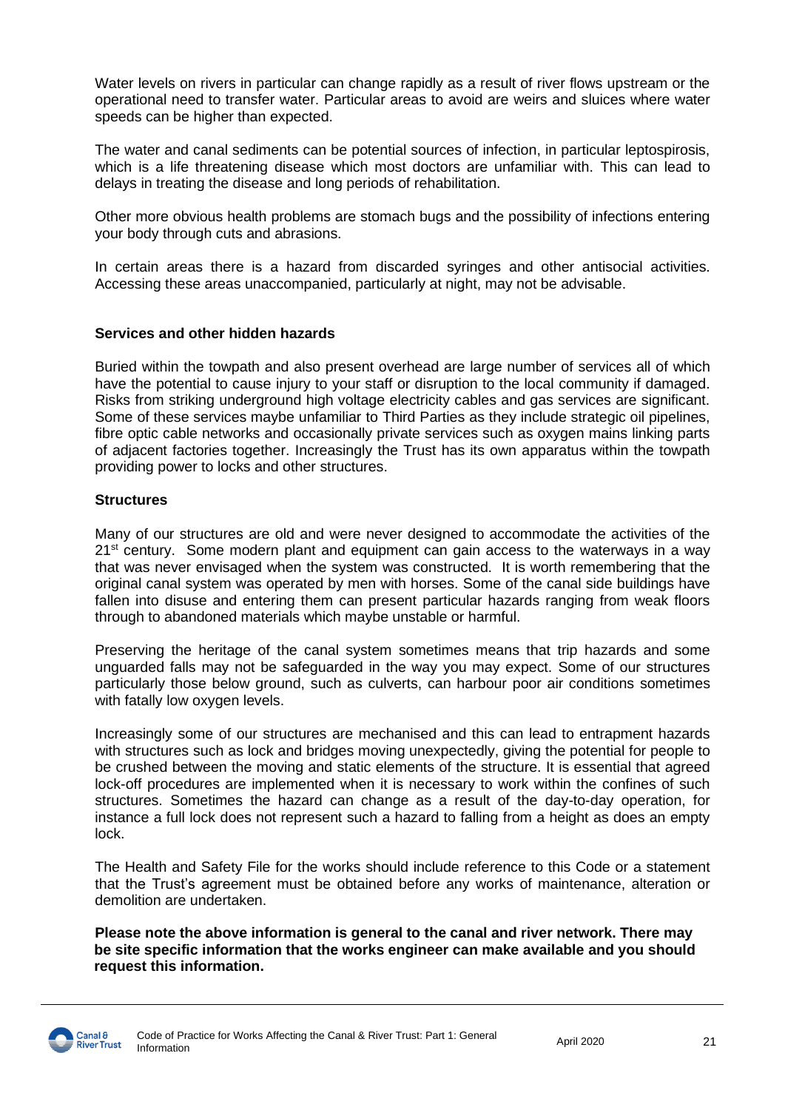Water levels on rivers in particular can change rapidly as a result of river flows upstream or the operational need to transfer water. Particular areas to avoid are weirs and sluices where water speeds can be higher than expected.

The water and canal sediments can be potential sources of infection, in particular leptospirosis, which is a life threatening disease which most doctors are unfamiliar with. This can lead to delays in treating the disease and long periods of rehabilitation.

Other more obvious health problems are stomach bugs and the possibility of infections entering your body through cuts and abrasions.

In certain areas there is a hazard from discarded syringes and other antisocial activities. Accessing these areas unaccompanied, particularly at night, may not be advisable.

### **Services and other hidden hazards**

Buried within the towpath and also present overhead are large number of services all of which have the potential to cause injury to your staff or disruption to the local community if damaged. Risks from striking underground high voltage electricity cables and gas services are significant. Some of these services maybe unfamiliar to Third Parties as they include strategic oil pipelines, fibre optic cable networks and occasionally private services such as oxygen mains linking parts of adjacent factories together. Increasingly the Trust has its own apparatus within the towpath providing power to locks and other structures.

### **Structures**

Many of our structures are old and were never designed to accommodate the activities of the  $21<sup>st</sup>$  century. Some modern plant and equipment can gain access to the waterways in a way that was never envisaged when the system was constructed. It is worth remembering that the original canal system was operated by men with horses. Some of the canal side buildings have fallen into disuse and entering them can present particular hazards ranging from weak floors through to abandoned materials which maybe unstable or harmful.

Preserving the heritage of the canal system sometimes means that trip hazards and some unguarded falls may not be safeguarded in the way you may expect. Some of our structures particularly those below ground, such as culverts, can harbour poor air conditions sometimes with fatally low oxygen levels.

Increasingly some of our structures are mechanised and this can lead to entrapment hazards with structures such as lock and bridges moving unexpectedly, giving the potential for people to be crushed between the moving and static elements of the structure. It is essential that agreed lock-off procedures are implemented when it is necessary to work within the confines of such structures. Sometimes the hazard can change as a result of the day-to-day operation, for instance a full lock does not represent such a hazard to falling from a height as does an empty lock.

The Health and Safety File for the works should include reference to this Code or a statement that the Trust's agreement must be obtained before any works of maintenance, alteration or demolition are undertaken.

**Please note the above information is general to the canal and river network. There may be site specific information that the works engineer can make available and you should request this information.**

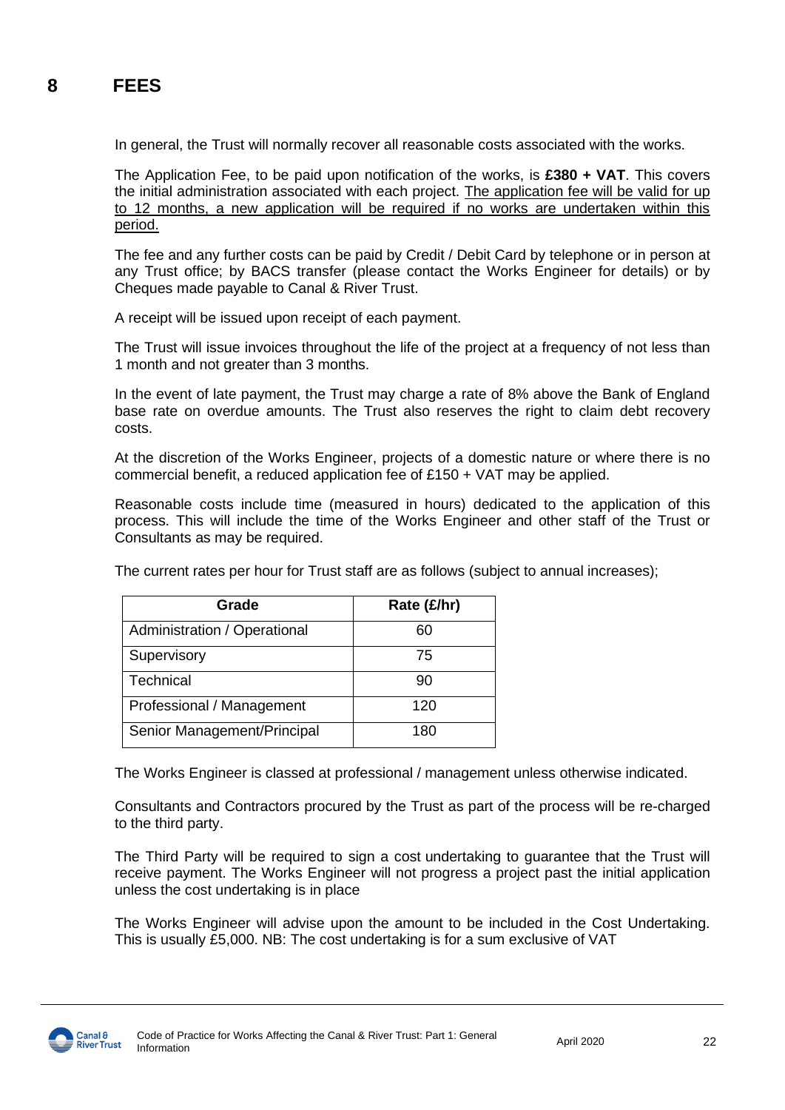### **8 FEES**

In general, the Trust will normally recover all reasonable costs associated with the works.

The Application Fee, to be paid upon notification of the works, is **£380 + VAT**. This covers the initial administration associated with each project. The application fee will be valid for up to 12 months, a new application will be required if no works are undertaken within this period.

The fee and any further costs can be paid by Credit / Debit Card by telephone or in person at any Trust office; by BACS transfer (please contact the Works Engineer for details) or by Cheques made payable to Canal & River Trust.

A receipt will be issued upon receipt of each payment.

The Trust will issue invoices throughout the life of the project at a frequency of not less than 1 month and not greater than 3 months.

In the event of late payment, the Trust may charge a rate of 8% above the Bank of England base rate on overdue amounts. The Trust also reserves the right to claim debt recovery costs.

At the discretion of the Works Engineer, projects of a domestic nature or where there is no commercial benefit, a reduced application fee of £150 + VAT may be applied.

Reasonable costs include time (measured in hours) dedicated to the application of this process. This will include the time of the Works Engineer and other staff of the Trust or Consultants as may be required.

| The current rates per hour for Trust staff are as follows (subject to annual increases); |  |  |  |
|------------------------------------------------------------------------------------------|--|--|--|
|                                                                                          |  |  |  |

| Grade                        | Rate (£/hr) |  |
|------------------------------|-------------|--|
| Administration / Operational | 60          |  |
| Supervisory                  | 75          |  |
| Technical                    | 90          |  |
| Professional / Management    | 120         |  |
| Senior Management/Principal  | 180         |  |

The Works Engineer is classed at professional / management unless otherwise indicated.

Consultants and Contractors procured by the Trust as part of the process will be re-charged to the third party.

The Third Party will be required to sign a cost undertaking to guarantee that the Trust will receive payment. The Works Engineer will not progress a project past the initial application unless the cost undertaking is in place

The Works Engineer will advise upon the amount to be included in the Cost Undertaking. This is usually £5,000. NB: The cost undertaking is for a sum exclusive of VAT

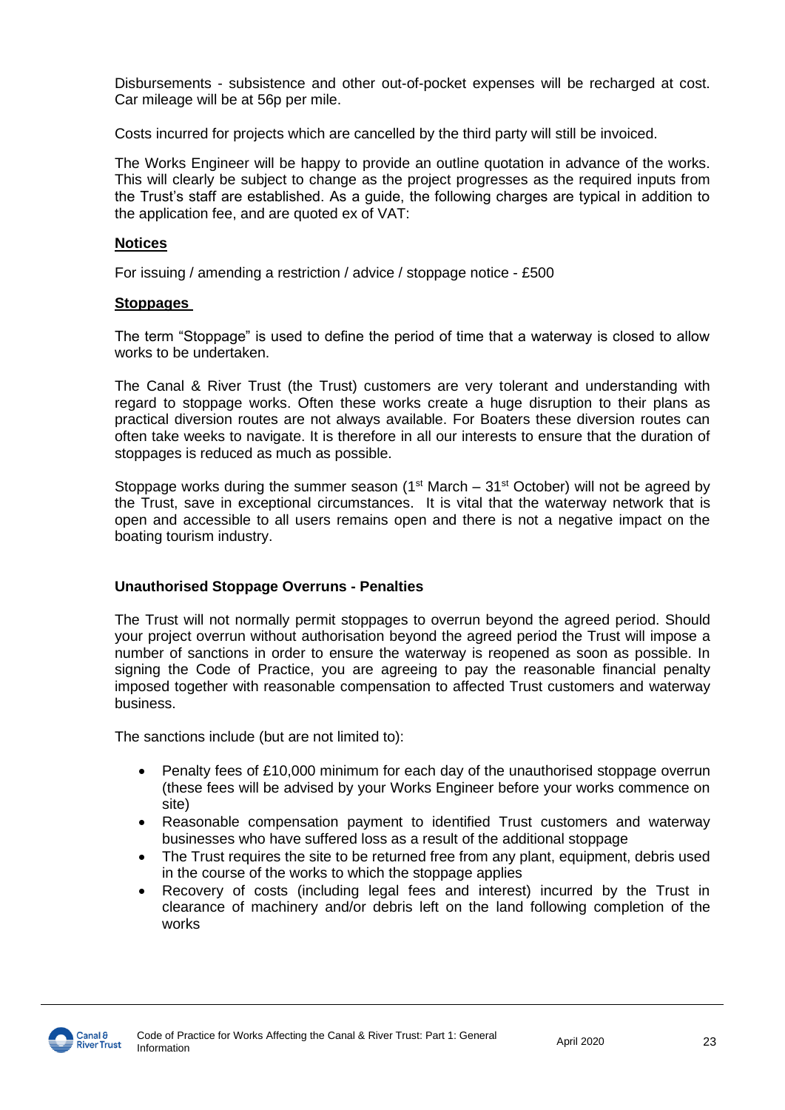Disbursements - subsistence and other out-of-pocket expenses will be recharged at cost. Car mileage will be at 56p per mile.

Costs incurred for projects which are cancelled by the third party will still be invoiced.

The Works Engineer will be happy to provide an outline quotation in advance of the works. This will clearly be subject to change as the project progresses as the required inputs from the Trust's staff are established. As a guide, the following charges are typical in addition to the application fee, and are quoted ex of VAT:

### **Notices**

For issuing / amending a restriction / advice / stoppage notice - £500

### **Stoppages**

The term "Stoppage" is used to define the period of time that a waterway is closed to allow works to be undertaken.

The Canal & River Trust (the Trust) customers are very tolerant and understanding with regard to stoppage works. Often these works create a huge disruption to their plans as practical diversion routes are not always available. For Boaters these diversion routes can often take weeks to navigate. It is therefore in all our interests to ensure that the duration of stoppages is reduced as much as possible.

Stoppage works during the summer season (1<sup>st</sup> March –  $31<sup>st</sup>$  October) will not be agreed by the Trust, save in exceptional circumstances. It is vital that the waterway network that is open and accessible to all users remains open and there is not a negative impact on the boating tourism industry.

### **Unauthorised Stoppage Overruns - Penalties**

The Trust will not normally permit stoppages to overrun beyond the agreed period. Should your project overrun without authorisation beyond the agreed period the Trust will impose a number of sanctions in order to ensure the waterway is reopened as soon as possible. In signing the Code of Practice, you are agreeing to pay the reasonable financial penalty imposed together with reasonable compensation to affected Trust customers and waterway business.

The sanctions include (but are not limited to):

- Penalty fees of £10,000 minimum for each day of the unauthorised stoppage overrun (these fees will be advised by your Works Engineer before your works commence on site)
- Reasonable compensation payment to identified Trust customers and waterway businesses who have suffered loss as a result of the additional stoppage
- The Trust requires the site to be returned free from any plant, equipment, debris used in the course of the works to which the stoppage applies
- Recovery of costs (including legal fees and interest) incurred by the Trust in clearance of machinery and/or debris left on the land following completion of the works

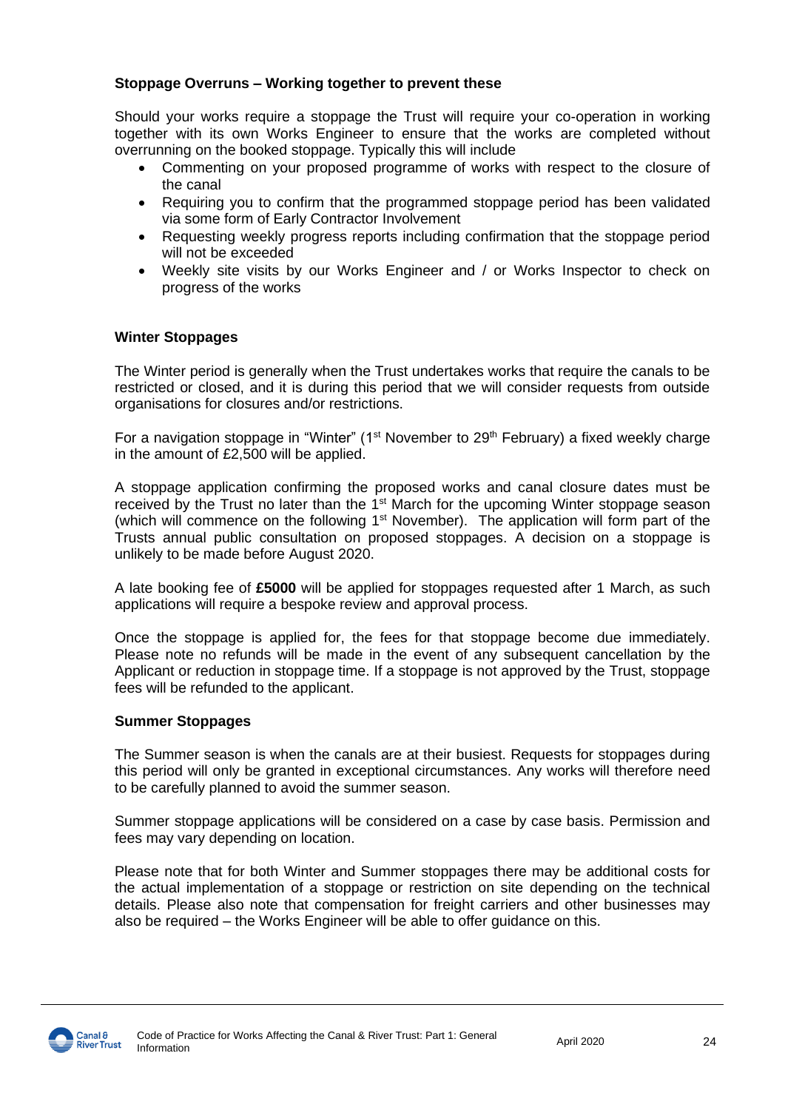### **Stoppage Overruns – Working together to prevent these**

Should your works require a stoppage the Trust will require your co-operation in working together with its own Works Engineer to ensure that the works are completed without overrunning on the booked stoppage. Typically this will include

- Commenting on your proposed programme of works with respect to the closure of the canal
- Requiring you to confirm that the programmed stoppage period has been validated via some form of Early Contractor Involvement
- Requesting weekly progress reports including confirmation that the stoppage period will not be exceeded
- Weekly site visits by our Works Engineer and / or Works Inspector to check on progress of the works

### **Winter Stoppages**

The Winter period is generally when the Trust undertakes works that require the canals to be restricted or closed, and it is during this period that we will consider requests from outside organisations for closures and/or restrictions.

For a navigation stoppage in "Winter" ( $1<sup>st</sup>$  November to  $29<sup>th</sup>$  February) a fixed weekly charge in the amount of £2,500 will be applied.

A stoppage application confirming the proposed works and canal closure dates must be received by the Trust no later than the 1<sup>st</sup> March for the upcoming Winter stoppage season (which will commence on the following  $1<sup>st</sup>$  November). The application will form part of the Trusts annual public consultation on proposed stoppages. A decision on a stoppage is unlikely to be made before August 2020.

A late booking fee of **£5000** will be applied for stoppages requested after 1 March, as such applications will require a bespoke review and approval process.

Once the stoppage is applied for, the fees for that stoppage become due immediately. Please note no refunds will be made in the event of any subsequent cancellation by the Applicant or reduction in stoppage time. If a stoppage is not approved by the Trust, stoppage fees will be refunded to the applicant.

### **Summer Stoppages**

The Summer season is when the canals are at their busiest. Requests for stoppages during this period will only be granted in exceptional circumstances. Any works will therefore need to be carefully planned to avoid the summer season.

Summer stoppage applications will be considered on a case by case basis. Permission and fees may vary depending on location.

Please note that for both Winter and Summer stoppages there may be additional costs for the actual implementation of a stoppage or restriction on site depending on the technical details. Please also note that compensation for freight carriers and other businesses may also be required – the Works Engineer will be able to offer guidance on this.

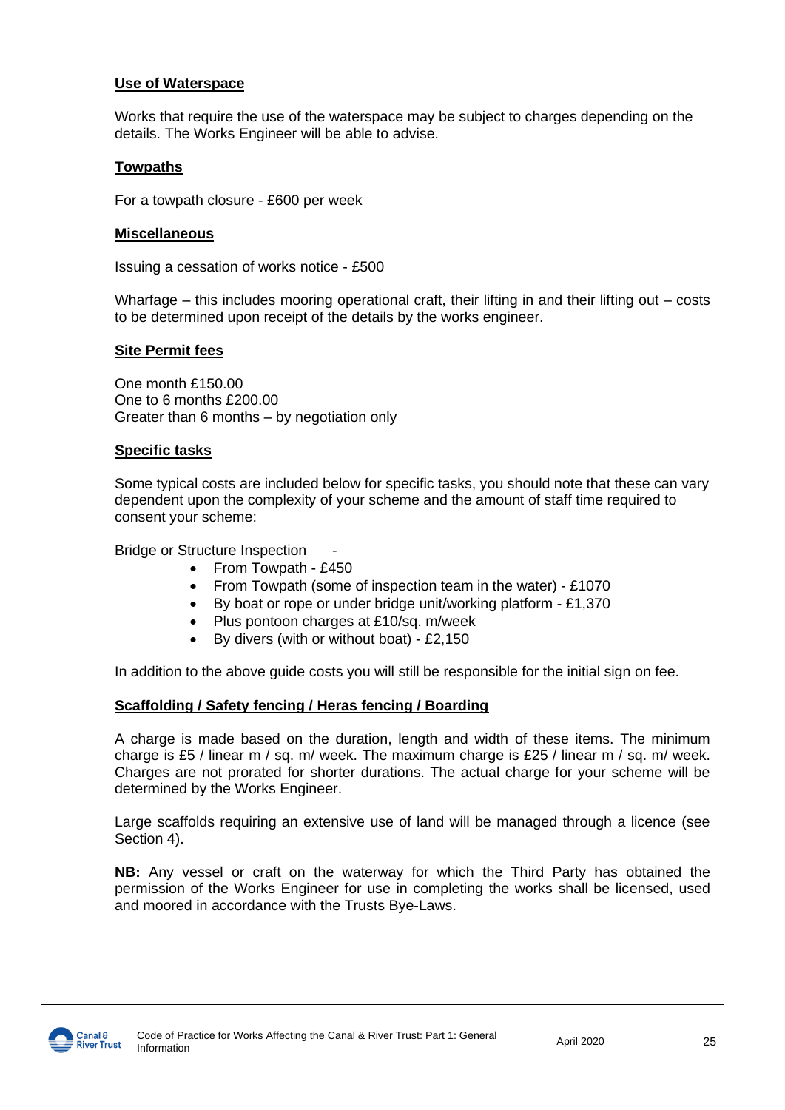#### **Use of Waterspace**

Works that require the use of the waterspace may be subject to charges depending on the details. The Works Engineer will be able to advise.

### **Towpaths**

For a towpath closure - £600 per week

#### **Miscellaneous**

Issuing a cessation of works notice - £500

Wharfage – this includes mooring operational craft, their lifting in and their lifting out – costs to be determined upon receipt of the details by the works engineer.

#### **Site Permit fees**

One month £150.00 One to 6 months £200.00 Greater than 6 months – by negotiation only

#### **Specific tasks**

Some typical costs are included below for specific tasks, you should note that these can vary dependent upon the complexity of your scheme and the amount of staff time required to consent your scheme:

Bridge or Structure Inspection

- From Towpath £450
- From Towpath (some of inspection team in the water) £1070
- By boat or rope or under bridge unit/working platform £1,370
- Plus pontoon charges at £10/sq. m/week
- By divers (with or without boat) £2,150

In addition to the above guide costs you will still be responsible for the initial sign on fee.

### **Scaffolding / Safety fencing / Heras fencing / Boarding**

A charge is made based on the duration, length and width of these items. The minimum charge is £5 / linear m / sq. m/ week. The maximum charge is £25 / linear m / sq. m/ week. Charges are not prorated for shorter durations. The actual charge for your scheme will be determined by the Works Engineer.

Large scaffolds requiring an extensive use of land will be managed through a licence (see Section 4).

**NB:** Any vessel or craft on the waterway for which the Third Party has obtained the permission of the Works Engineer for use in completing the works shall be licensed, used and moored in accordance with the Trusts Bye-Laws.

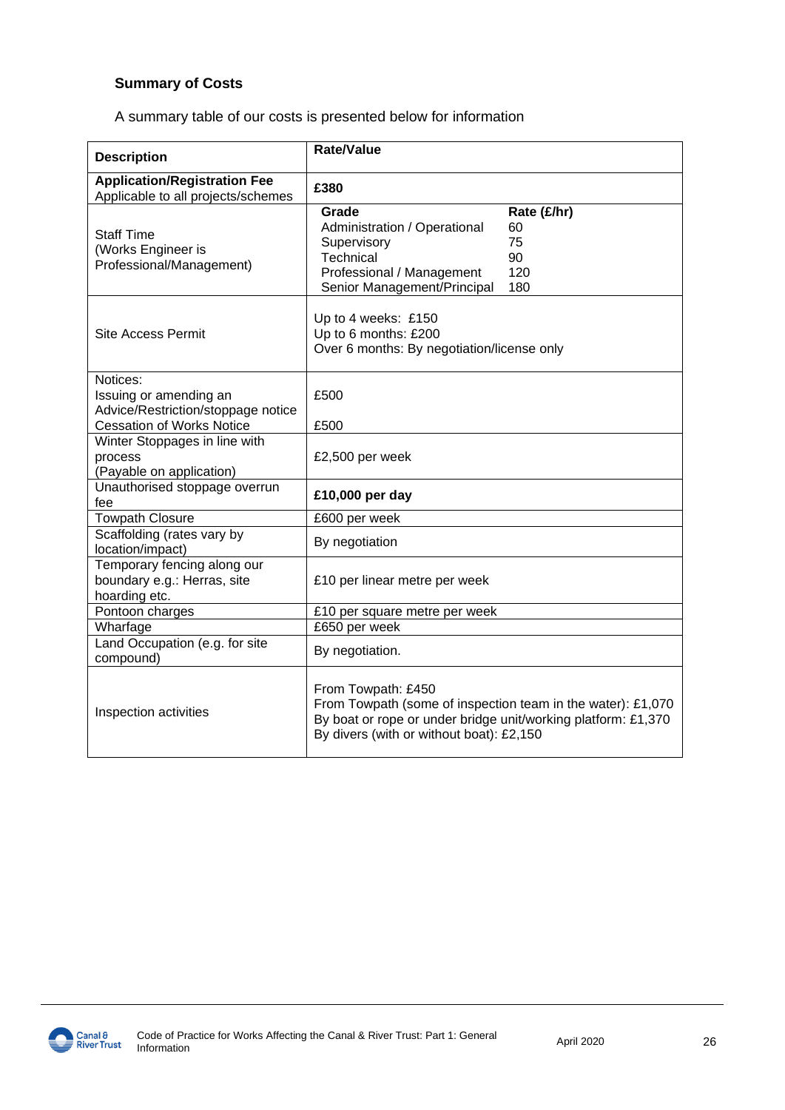### **Summary of Costs**

A summary table of our costs is presented below for information

| <b>Description</b>                                                                                           | <b>Rate/Value</b>                                                                                                                                                                              |                                             |  |  |
|--------------------------------------------------------------------------------------------------------------|------------------------------------------------------------------------------------------------------------------------------------------------------------------------------------------------|---------------------------------------------|--|--|
| <b>Application/Registration Fee</b><br>Applicable to all projects/schemes                                    | £380                                                                                                                                                                                           |                                             |  |  |
| <b>Staff Time</b><br>(Works Engineer is<br>Professional/Management)                                          | Grade<br>Administration / Operational<br>Supervisory<br>Technical<br>Professional / Management<br>Senior Management/Principal                                                                  | Rate (£/hr)<br>60<br>75<br>90<br>120<br>180 |  |  |
| <b>Site Access Permit</b>                                                                                    | Up to 4 weeks: £150<br>Up to 6 months: £200<br>Over 6 months: By negotiation/license only                                                                                                      |                                             |  |  |
| Notices:<br>Issuing or amending an<br>Advice/Restriction/stoppage notice<br><b>Cessation of Works Notice</b> | £500<br>£500                                                                                                                                                                                   |                                             |  |  |
| Winter Stoppages in line with<br>process<br>(Payable on application)                                         | £2,500 per week                                                                                                                                                                                |                                             |  |  |
| Unauthorised stoppage overrun<br>fee                                                                         | £10,000 per day                                                                                                                                                                                |                                             |  |  |
| <b>Towpath Closure</b>                                                                                       | £600 per week                                                                                                                                                                                  |                                             |  |  |
| Scaffolding (rates vary by<br>location/impact)                                                               | By negotiation                                                                                                                                                                                 |                                             |  |  |
| Temporary fencing along our<br>boundary e.g.: Herras, site<br>hoarding etc.                                  | £10 per linear metre per week                                                                                                                                                                  |                                             |  |  |
| Pontoon charges                                                                                              | £10 per square metre per week                                                                                                                                                                  |                                             |  |  |
| Wharfage                                                                                                     | £650 per week                                                                                                                                                                                  |                                             |  |  |
| Land Occupation (e.g. for site<br>compound)                                                                  | By negotiation.                                                                                                                                                                                |                                             |  |  |
| Inspection activities                                                                                        | From Towpath: £450<br>From Towpath (some of inspection team in the water): £1,070<br>By boat or rope or under bridge unit/working platform: £1,370<br>By divers (with or without boat): £2,150 |                                             |  |  |

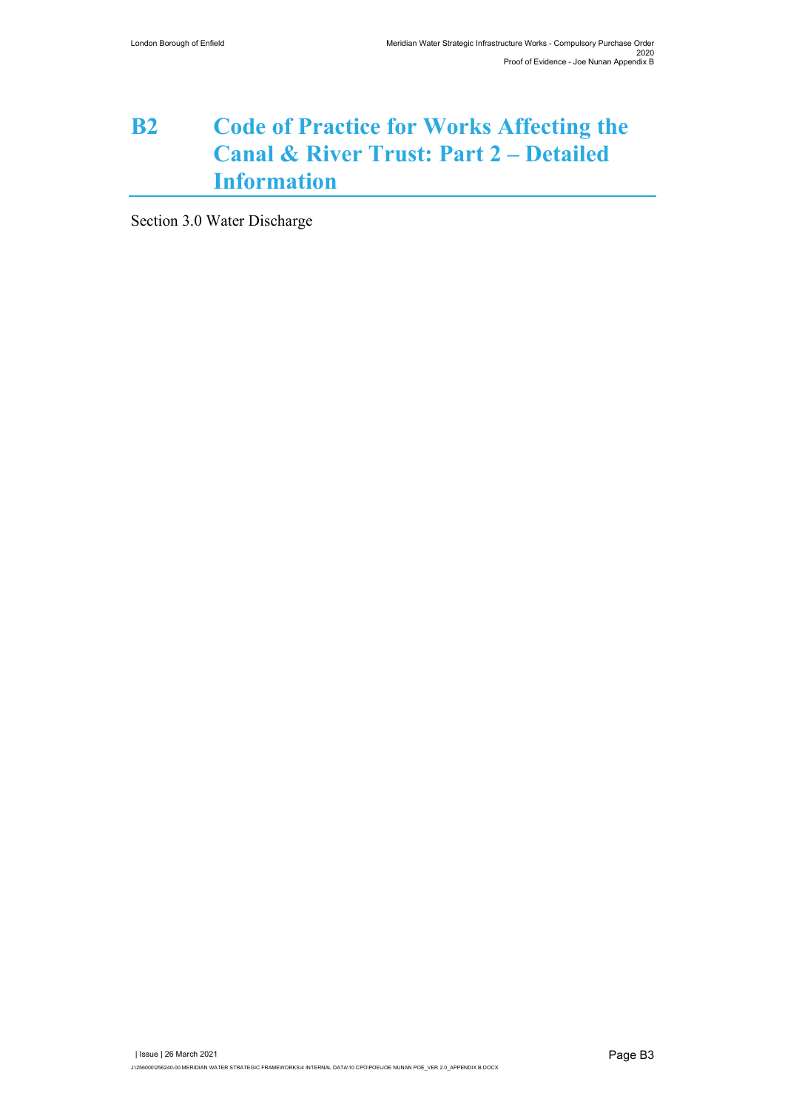## **B2 Code of Practice for Works Affecting the Canal & River Trust: Part 2 – Detailed Information**

Section 3.0 Water Discharge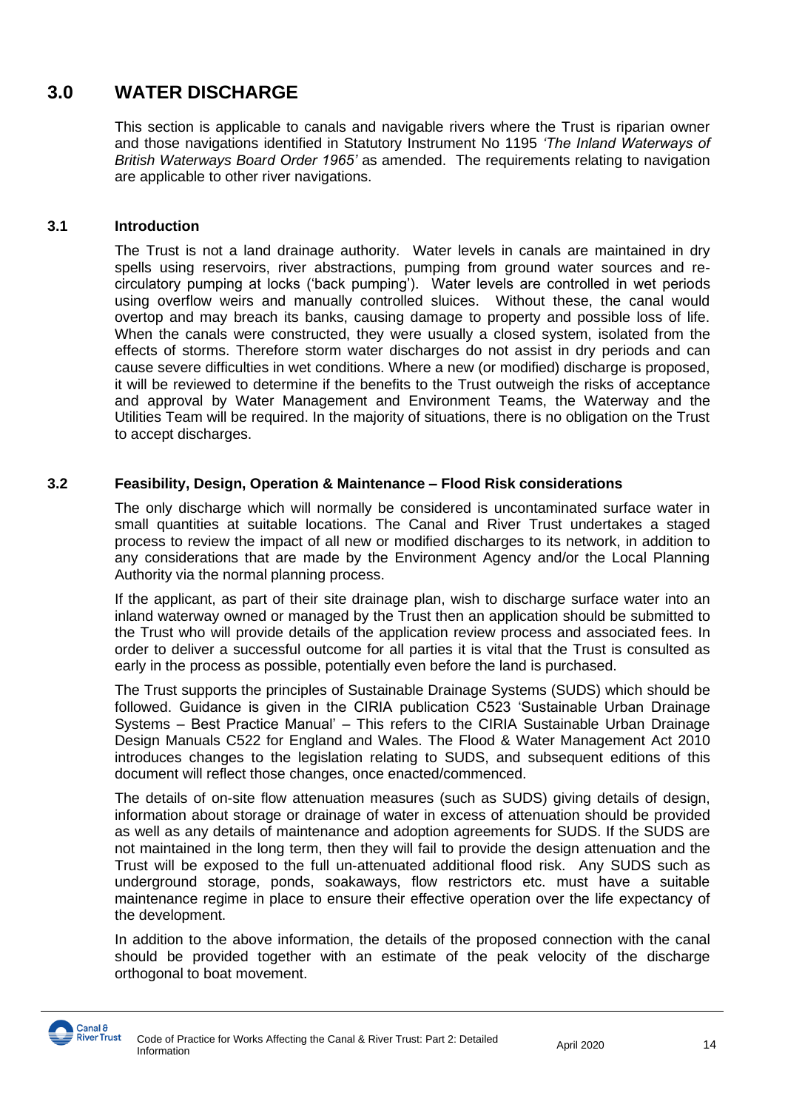### **3.0 WATER DISCHARGE**

This section is applicable to canals and navigable rivers where the Trust is riparian owner and those navigations identified in Statutory Instrument No 1195 *'The Inland Waterways of British Waterways Board Order 1965'* as amended. The requirements relating to navigation are applicable to other river navigations.

### **3.1 Introduction**

 The Trust is not a land drainage authority. Water levels in canals are maintained in dry spells using reservoirs, river abstractions, pumping from ground water sources and recirculatory pumping at locks ('back pumping'). Water levels are controlled in wet periods using overflow weirs and manually controlled sluices. Without these, the canal would overtop and may breach its banks, causing damage to property and possible loss of life. When the canals were constructed, they were usually a closed system, isolated from the effects of storms. Therefore storm water discharges do not assist in dry periods and can cause severe difficulties in wet conditions. Where a new (or modified) discharge is proposed, it will be reviewed to determine if the benefits to the Trust outweigh the risks of acceptance and approval by Water Management and Environment Teams, the Waterway and the Utilities Team will be required. In the majority of situations, there is no obligation on the Trust to accept discharges.

### **3.2 Feasibility, Design, Operation & Maintenance – Flood Risk considerations**

 The only discharge which will normally be considered is uncontaminated surface water in small quantities at suitable locations. The Canal and River Trust undertakes a staged process to review the impact of all new or modified discharges to its network, in addition to any considerations that are made by the Environment Agency and/or the Local Planning Authority via the normal planning process.

If the applicant, as part of their site drainage plan, wish to discharge surface water into an inland waterway owned or managed by the Trust then an application should be submitted to the Trust who will provide details of the application review process and associated fees. In order to deliver a successful outcome for all parties it is vital that the Trust is consulted as early in the process as possible, potentially even before the land is purchased.

 The Trust supports the principles of Sustainable Drainage Systems (SUDS) which should be followed. Guidance is given in the CIRIA publication C523 'Sustainable Urban Drainage Systems – Best Practice Manual' – This refers to the CIRIA Sustainable Urban Drainage Design Manuals C522 for England and Wales. The Flood & Water Management Act 2010 introduces changes to the legislation relating to SUDS, and subsequent editions of this document will reflect those changes, once enacted/commenced.

 The details of on-site flow attenuation measures (such as SUDS) giving details of design, information about storage or drainage of water in excess of attenuation should be provided as well as any details of maintenance and adoption agreements for SUDS. If the SUDS are not maintained in the long term, then they will fail to provide the design attenuation and the Trust will be exposed to the full un-attenuated additional flood risk. Any SUDS such as underground storage, ponds, soakaways, flow restrictors etc. must have a suitable maintenance regime in place to ensure their effective operation over the life expectancy of the development.

 In addition to the above information, the details of the proposed connection with the canal should be provided together with an estimate of the peak velocity of the discharge orthogonal to boat movement.

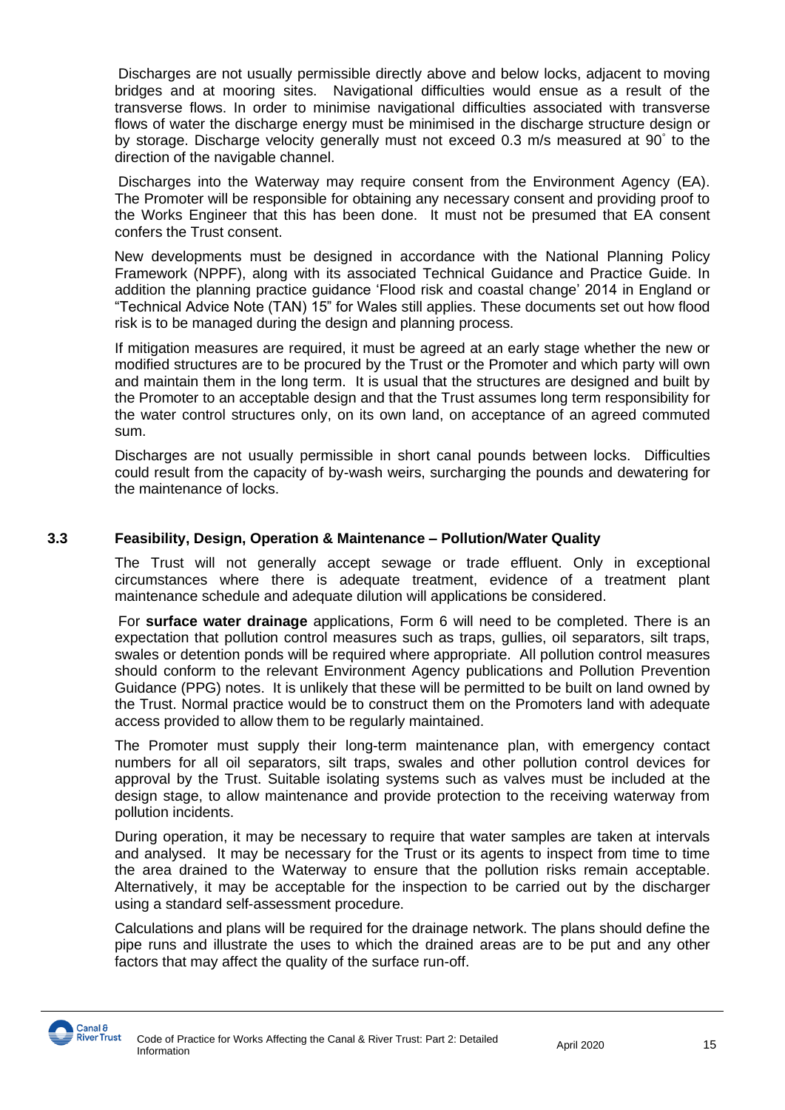Discharges are not usually permissible directly above and below locks, adjacent to moving bridges and at mooring sites. Navigational difficulties would ensue as a result of the transverse flows. In order to minimise navigational difficulties associated with transverse flows of water the discharge energy must be minimised in the discharge structure design or by storage. Discharge velocity generally must not exceed 0.3 m/s measured at 90° to the direction of the navigable channel.

 Discharges into the Waterway may require consent from the Environment Agency (EA). The Promoter will be responsible for obtaining any necessary consent and providing proof to the Works Engineer that this has been done. It must not be presumed that EA consent confers the Trust consent.

 New developments must be designed in accordance with the National Planning Policy Framework (NPPF), along with its associated Technical Guidance and Practice Guide. In addition the planning practice guidance 'Flood risk and coastal change' 2014 in England or "Technical Advice Note (TAN) 15" for Wales still applies. These documents set out how flood risk is to be managed during the design and planning process.

 If mitigation measures are required, it must be agreed at an early stage whether the new or modified structures are to be procured by the Trust or the Promoter and which party will own and maintain them in the long term. It is usual that the structures are designed and built by the Promoter to an acceptable design and that the Trust assumes long term responsibility for the water control structures only, on its own land, on acceptance of an agreed commuted sum.

 Discharges are not usually permissible in short canal pounds between locks. Difficulties could result from the capacity of by-wash weirs, surcharging the pounds and dewatering for the maintenance of locks.

### **3.3 Feasibility, Design, Operation & Maintenance – Pollution/Water Quality**

 The Trust will not generally accept sewage or trade effluent. Only in exceptional circumstances where there is adequate treatment, evidence of a treatment plant maintenance schedule and adequate dilution will applications be considered.

 For **surface water drainage** applications, Form 6 will need to be completed. There is an expectation that pollution control measures such as traps, gullies, oil separators, silt traps, swales or detention ponds will be required where appropriate. All pollution control measures should conform to the relevant Environment Agency publications and Pollution Prevention Guidance (PPG) notes. It is unlikely that these will be permitted to be built on land owned by the Trust. Normal practice would be to construct them on the Promoters land with adequate access provided to allow them to be regularly maintained.

 The Promoter must supply their long-term maintenance plan, with emergency contact numbers for all oil separators, silt traps, swales and other pollution control devices for approval by the Trust. Suitable isolating systems such as valves must be included at the design stage, to allow maintenance and provide protection to the receiving waterway from pollution incidents.

 During operation, it may be necessary to require that water samples are taken at intervals and analysed. It may be necessary for the Trust or its agents to inspect from time to time the area drained to the Waterway to ensure that the pollution risks remain acceptable. Alternatively, it may be acceptable for the inspection to be carried out by the discharger using a standard self-assessment procedure.

 Calculations and plans will be required for the drainage network. The plans should define the pipe runs and illustrate the uses to which the drained areas are to be put and any other factors that may affect the quality of the surface run-off.